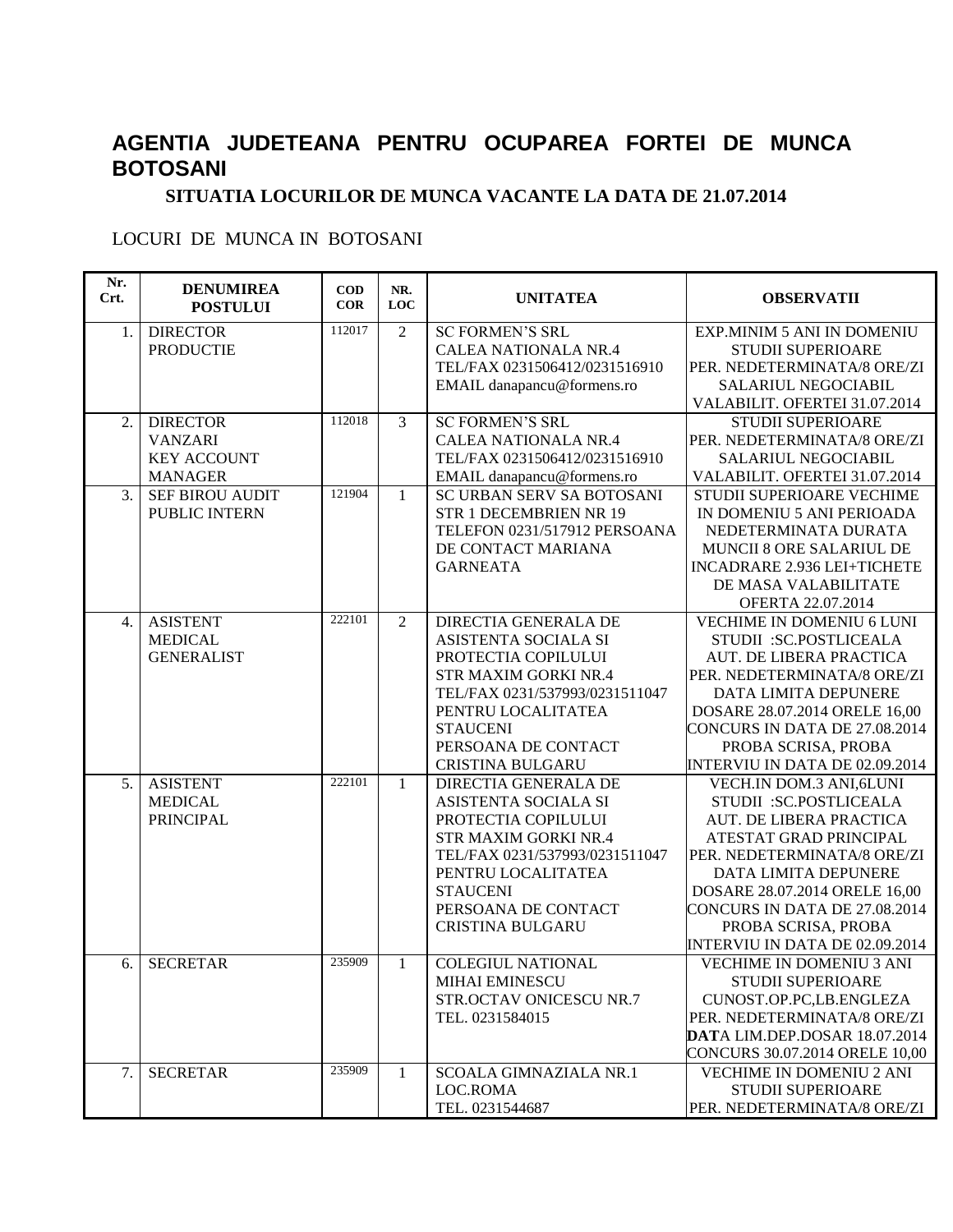## **AGENTIA JUDETEANA PENTRU OCUPAREA FORTEI DE MUNCA BOTOSANI**

**SITUATIA LOCURILOR DE MUNCA VACANTE LA DATA DE 21.07.2014**

LOCURI DE MUNCA IN BOTOSANI

| Nr.<br>Crt. | <b>DENUMIREA</b><br><b>POSTULUI</b>                                       | $\bf{COD}$<br><b>COR</b> | NR.<br>LOC     | <b>UNITATEA</b>                                                                                                                                                                                                                 | <b>OBSERVATII</b>                                                                                                                                                                                                                                                                                |
|-------------|---------------------------------------------------------------------------|--------------------------|----------------|---------------------------------------------------------------------------------------------------------------------------------------------------------------------------------------------------------------------------------|--------------------------------------------------------------------------------------------------------------------------------------------------------------------------------------------------------------------------------------------------------------------------------------------------|
| 1.          | <b>DIRECTOR</b><br><b>PRODUCTIE</b>                                       | 112017                   | $\overline{2}$ | <b>SC FORMEN'S SRL</b><br><b>CALEA NATIONALA NR.4</b><br>TEL/FAX 0231506412/0231516910<br>EMAIL danapancu@formens.ro                                                                                                            | EXP.MINIM 5 ANI IN DOMENIU<br>STUDII SUPERIOARE<br>PER. NEDETERMINATA/8 ORE/ZI<br><b>SALARIUL NEGOCIABIL</b><br>VALABILIT. OFERTEI 31.07.2014                                                                                                                                                    |
| 2.          | <b>DIRECTOR</b><br><b>VANZARI</b><br><b>KEY ACCOUNT</b><br><b>MANAGER</b> | 112018                   | $\overline{3}$ | <b>SC FORMEN'S SRL</b><br><b>CALEA NATIONALA NR.4</b><br>TEL/FAX 0231506412/0231516910<br>EMAIL danapancu@formens.ro                                                                                                            | STUDII SUPERIOARE<br>PER. NEDETERMINATA/8 ORE/ZI<br><b>SALARIUL NEGOCIABIL</b><br>VALABILIT. OFERTEI 31.07.2014                                                                                                                                                                                  |
| 3.          | <b>SEF BIROU AUDIT</b><br>PUBLIC INTERN                                   | 121904                   | $\mathbf{1}$   | <b>SC URBAN SERV SA BOTOSANI</b><br>STR 1 DECEMBRIEN NR 19<br>TELEFON 0231/517912 PERSOANA<br>DE CONTACT MARIANA<br><b>GARNEATA</b>                                                                                             | STUDII SUPERIOARE VECHIME<br>IN DOMENIU 5 ANI PERIOADA<br>NEDETERMINATA DURATA<br>MUNCII 8 ORE SALARIUL DE<br><b>INCADRARE 2.936 LEI+TICHETE</b><br>DE MASA VALABILITATE<br>OFERTA 22.07.2014                                                                                                    |
| 4.          | <b>ASISTENT</b><br><b>MEDICAL</b><br><b>GENERALIST</b>                    | 222101                   | 2              | DIRECTIA GENERALA DE<br>ASISTENTA SOCIALA SI<br>PROTECTIA COPILULUI<br><b>STR MAXIM GORKI NR.4</b><br>TEL/FAX 0231/537993/0231511047<br>PENTRU LOCALITATEA<br><b>STAUCENI</b><br>PERSOANA DE CONTACT<br><b>CRISTINA BULGARU</b> | <b>VECHIME IN DOMENIU 6 LUNI</b><br>STUDII : SC.POSTLICEALA<br>AUT. DE LIBERA PRACTICA<br>PER. NEDETERMINATA/8 ORE/ZI<br>DATA LIMITA DEPUNERE<br>DOSARE 28.07.2014 ORELE 16,00<br>CONCURS IN DATA DE 27.08.2014<br>PROBA SCRISA, PROBA<br><b>INTERVIU IN DATA DE 02.09.2014</b>                  |
| 5.          | <b>ASISTENT</b><br><b>MEDICAL</b><br><b>PRINCIPAL</b>                     | 222101                   | $\mathbf{1}$   | DIRECTIA GENERALA DE<br>ASISTENTA SOCIALA SI<br>PROTECTIA COPILULUI<br><b>STR MAXIM GORKI NR.4</b><br>TEL/FAX 0231/537993/0231511047<br>PENTRU LOCALITATEA<br><b>STAUCENI</b><br>PERSOANA DE CONTACT<br><b>CRISTINA BULGARU</b> | VECH.IN DOM.3 ANI,6LUNI<br>STUDII : SC.POSTLICEALA<br>AUT. DE LIBERA PRACTICA<br>ATESTAT GRAD PRINCIPAL<br>PER. NEDETERMINATA/8 ORE/ZI<br>DATA LIMITA DEPUNERE<br>DOSARE 28.07.2014 ORELE 16,00<br>CONCURS IN DATA DE 27.08.2014<br>PROBA SCRISA, PROBA<br><b>INTERVIU IN DATA DE 02.09.2014</b> |
| 6.          | <b>SECRETAR</b>                                                           | 235909                   | 1              | <b>COLEGIUL NATIONAL</b><br>MIHAI EMINESCU<br>STR.OCTAV ONICESCU NR.7<br>TEL. 0231584015                                                                                                                                        | <b>VECHIME IN DOMENIU 3 ANI</b><br>STUDII SUPERIOARE<br>CUNOST.OP.PC,LB.ENGLEZA<br>PER. NEDETERMINATA/8 ORE/ZI<br>DATA LIM.DEP.DOSAR 18.07.2014<br>CONCURS 30.07.2014 ORELE 10,00                                                                                                                |
| 7.          | <b>SECRETAR</b>                                                           | 235909                   | 1              | <b>SCOALA GIMNAZIALA NR.1</b><br>LOC.ROMA<br>TEL. 0231544687                                                                                                                                                                    | VECHIME IN DOMENIU 2 ANI<br><b>STUDII SUPERIOARE</b><br>PER. NEDETERMINATA/8 ORE/ZI                                                                                                                                                                                                              |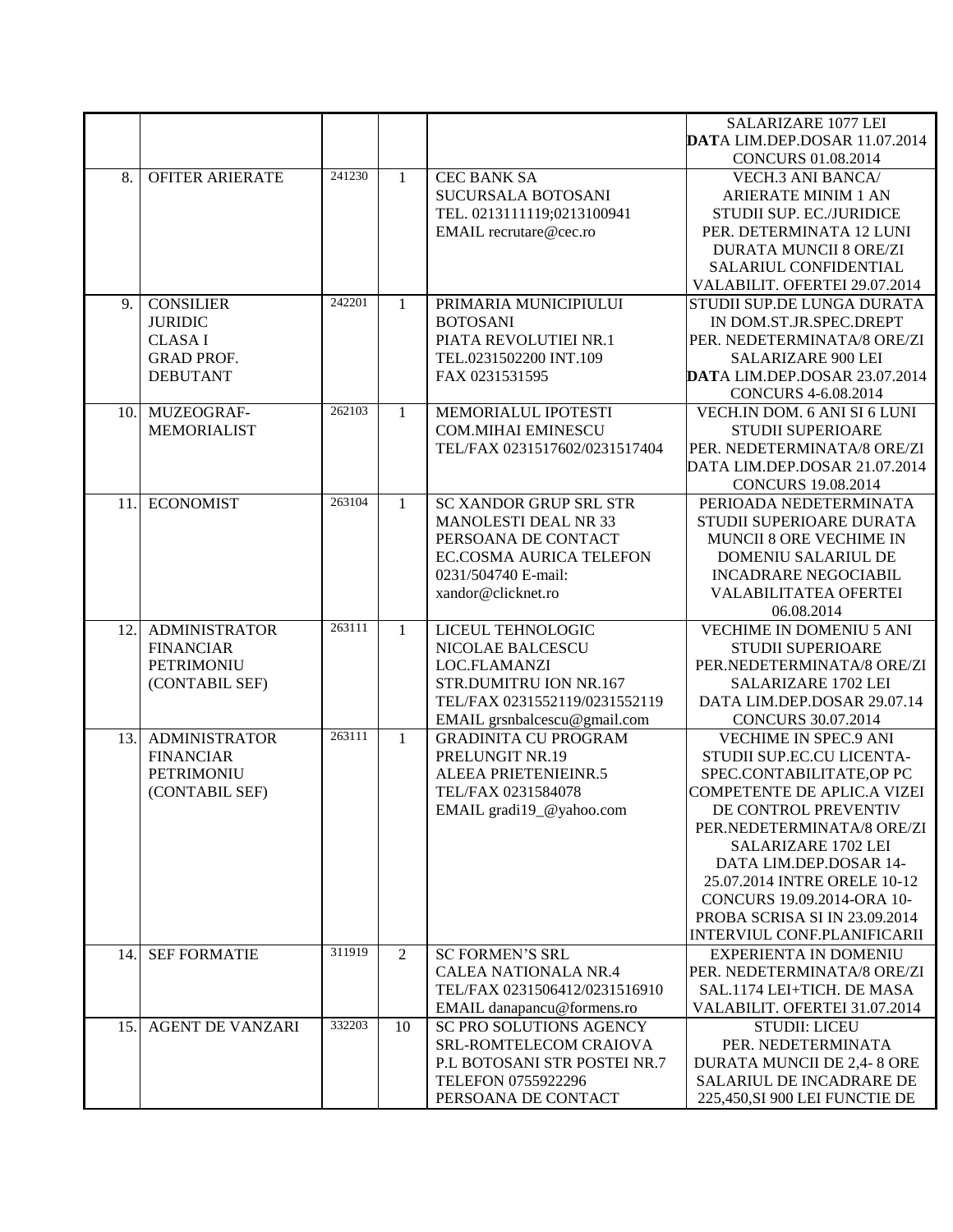|     |                         |        |              |                               | SALARIZARE 1077 LEI                |
|-----|-------------------------|--------|--------------|-------------------------------|------------------------------------|
|     |                         |        |              |                               | DATA LIM.DEP.DOSAR 11.07.2014      |
|     |                         |        |              |                               | CONCURS 01.08.2014                 |
| 8.  | <b>OFITER ARIERATE</b>  | 241230 | $\mathbf{1}$ | <b>CEC BANK SA</b>            | <b>VECH.3 ANI BANCA/</b>           |
|     |                         |        |              | SUCURSALA BOTOSANI            | <b>ARIERATE MINIM 1 AN</b>         |
|     |                         |        |              | TEL. 0213111119;0213100941    | STUDII SUP. EC./JURIDICE           |
|     |                         |        |              | EMAIL recrutare@cec.ro        | PER. DETERMINATA 12 LUNI           |
|     |                         |        |              |                               | <b>DURATA MUNCII 8 ORE/ZI</b>      |
|     |                         |        |              |                               | SALARIUL CONFIDENTIAL              |
|     |                         |        |              |                               | VALABILIT. OFERTEI 29.07.2014      |
| 9.  | <b>CONSILIER</b>        | 242201 | $\mathbf{1}$ | PRIMARIA MUNICIPIULUI         | STUDII SUP.DE LUNGA DURATA         |
|     | <b>JURIDIC</b>          |        |              | <b>BOTOSANI</b>               | IN DOM.ST.JR.SPEC.DREPT            |
|     |                         |        |              | PIATA REVOLUTIEI NR.1         |                                    |
|     | <b>CLASAI</b>           |        |              |                               | PER. NEDETERMINATA/8 ORE/ZI        |
|     | <b>GRAD PROF.</b>       |        |              | TEL.0231502200 INT.109        | <b>SALARIZARE 900 LEI</b>          |
|     | <b>DEBUTANT</b>         |        |              | FAX 0231531595                | DATA LIM.DEP.DOSAR 23.07.2014      |
|     |                         |        |              |                               | CONCURS 4-6.08.2014                |
| 10. | MUZEOGRAF-              | 262103 | 1            | MEMORIALUL IPOTESTI           | VECH.IN DOM. 6 ANI SI 6 LUNI       |
|     | <b>MEMORIALIST</b>      |        |              | <b>COM.MIHAI EMINESCU</b>     | STUDII SUPERIOARE                  |
|     |                         |        |              | TEL/FAX 0231517602/0231517404 | PER. NEDETERMINATA/8 ORE/ZI        |
|     |                         |        |              |                               | DATA LIM.DEP.DOSAR 21.07.2014      |
|     |                         |        |              |                               | <b>CONCURS 19.08.2014</b>          |
| 11. | <b>ECONOMIST</b>        | 263104 | $\mathbf{1}$ | SC XANDOR GRUP SRL STR        | PERIOADA NEDETERMINATA             |
|     |                         |        |              | <b>MANOLESTI DEAL NR 33</b>   | STUDII SUPERIOARE DURATA           |
|     |                         |        |              | PERSOANA DE CONTACT           | MUNCII 8 ORE VECHIME IN            |
|     |                         |        |              | EC.COSMA AURICA TELEFON       | DOMENIU SALARIUL DE                |
|     |                         |        |              | 0231/504740 E-mail:           | <b>INCADRARE NEGOCIABIL</b>        |
|     |                         |        |              | xandor@clicknet.ro            | <b>VALABILITATEA OFERTEI</b>       |
|     |                         |        |              |                               | 06.08.2014                         |
| 12. | <b>ADMINISTRATOR</b>    | 263111 | 1            | LICEUL TEHNOLOGIC             | <b>VECHIME IN DOMENIU 5 ANI</b>    |
|     | <b>FINANCIAR</b>        |        |              | NICOLAE BALCESCU              | STUDII SUPERIOARE                  |
|     | PETRIMONIU              |        |              | LOC.FLAMANZI                  | PER.NEDETERMINATA/8 ORE/ZI         |
|     | (CONTABIL SEF)          |        |              | STR.DUMITRU ION NR.167        | SALARIZARE 1702 LEI                |
|     |                         |        |              | TEL/FAX 0231552119/0231552119 | DATA LIM.DEP.DOSAR 29.07.14        |
|     |                         |        |              | EMAIL grsnbalcescu@gmail.com  | CONCURS 30.07.2014                 |
| 13. | <b>ADMINISTRATOR</b>    | 263111 | $\mathbf{1}$ | <b>GRADINITA CU PROGRAM</b>   | <b>VECHIME IN SPEC.9 ANI</b>       |
|     | <b>FINANCIAR</b>        |        |              | PRELUNGIT NR.19               | STUDII SUP.EC.CU LICENTA-          |
|     | <b>PETRIMONIU</b>       |        |              | ALEEA PRIETENIEINR.5          | SPEC.CONTABILITATE,OP PC           |
|     | (CONTABIL SEF)          |        |              | TEL/FAX 0231584078            | <b>COMPETENTE DE APLIC.A VIZEI</b> |
|     |                         |        |              | EMAIL gradi19_@yahoo.com      | DE CONTROL PREVENTIV               |
|     |                         |        |              |                               | PER.NEDETERMINATA/8 ORE/ZI         |
|     |                         |        |              |                               | SALARIZARE 1702 LEI                |
|     |                         |        |              |                               | DATA LIM.DEP.DOSAR 14-             |
|     |                         |        |              |                               | 25.07.2014 INTRE ORELE 10-12       |
|     |                         |        |              |                               | CONCURS 19.09.2014-ORA 10-         |
|     |                         |        |              |                               | PROBA SCRISA SI IN 23.09.2014      |
|     |                         |        |              |                               | INTERVIUL CONF.PLANIFICARII        |
| 14. | <b>SEF FORMATIE</b>     | 311919 | 2            | <b>SC FORMEN'S SRL</b>        | <b>EXPERIENTA IN DOMENIU</b>       |
|     |                         |        |              | <b>CALEA NATIONALA NR.4</b>   | PER. NEDETERMINATA/8 ORE/ZI        |
|     |                         |        |              | TEL/FAX 0231506412/0231516910 | SAL.1174 LEI+TICH. DE MASA         |
|     |                         |        |              | EMAIL danapancu@formens.ro    | VALABILIT. OFERTEI 31.07.2014      |
| 15. | <b>AGENT DE VANZARI</b> | 332203 | 10           | SC PRO SOLUTIONS AGENCY       | <b>STUDII: LICEU</b>               |
|     |                         |        |              | SRL-ROMTELECOM CRAIOVA        | PER. NEDETERMINATA                 |
|     |                         |        |              | P.L BOTOSANI STR POSTEI NR.7  | <b>DURATA MUNCII DE 2,4-8 ORE</b>  |
|     |                         |        |              | TELEFON 0755922296            | SALARIUL DE INCADRARE DE           |
|     |                         |        |              | PERSOANA DE CONTACT           | 225,450,SI 900 LEI FUNCTIE DE      |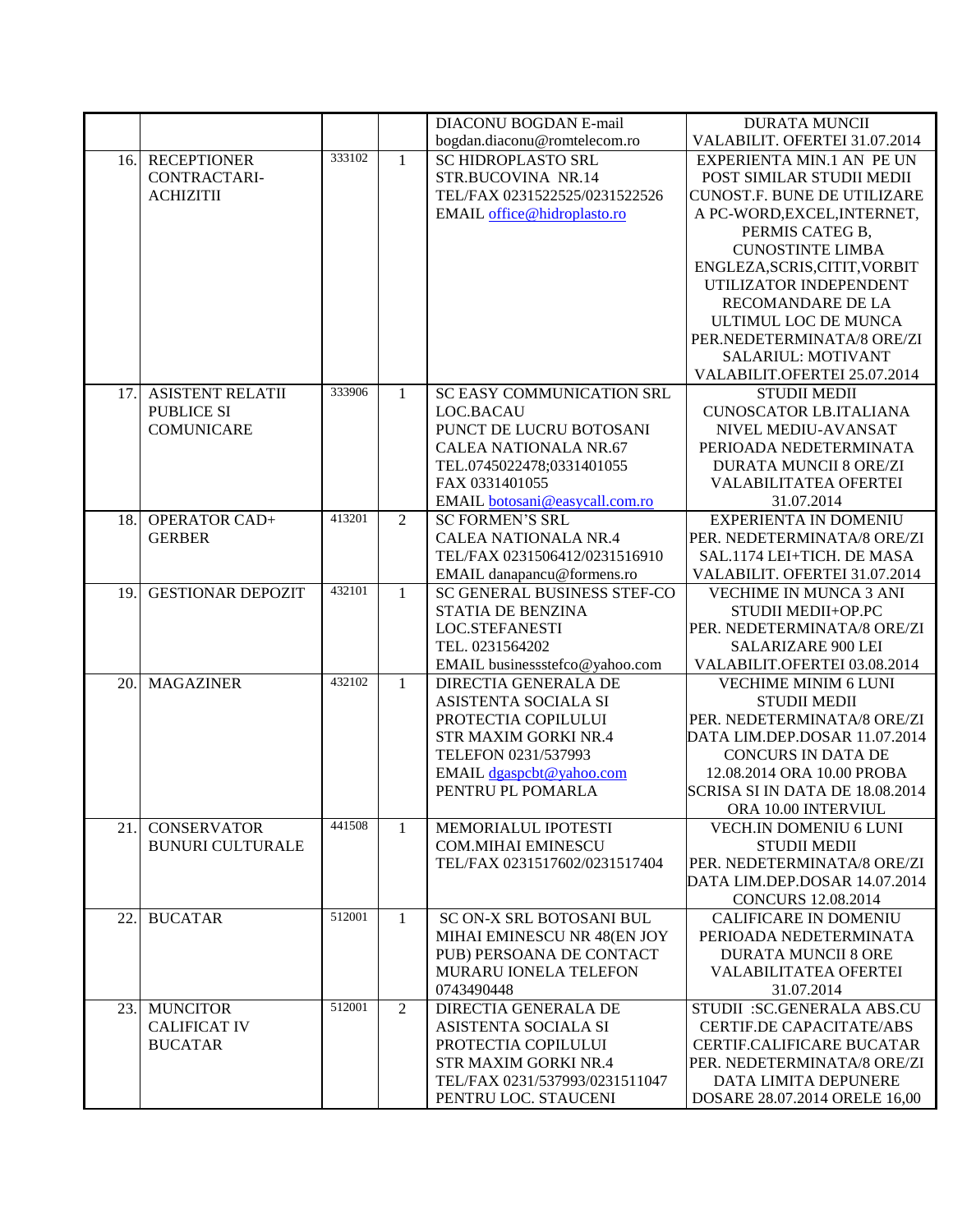| bogdan.diaconu@romtelecom.ro<br>VALABILIT. OFERTEI 31.07.2014<br>333102<br><b>RECEPTIONER</b><br>16.<br>1<br>SC HIDROPLASTO SRL<br>EXPERIENTA MIN.1 AN PE UN<br>CONTRACTARI-<br>STR.BUCOVINA NR.14<br>POST SIMILAR STUDII MEDII<br>TEL/FAX 0231522525/0231522526<br><b>ACHIZITII</b><br>CUNOST.F. BUNE DE UTILIZARE<br>EMAIL office@hidroplasto.ro<br>A PC-WORD, EXCEL, INTERNET,<br>PERMIS CATEG B,<br><b>CUNOSTINTE LIMBA</b><br>ENGLEZA, SCRIS, CITIT, VORBIT<br>UTILIZATOR INDEPENDENT<br>RECOMANDARE DE LA<br>ULTIMUL LOC DE MUNCA<br>PER.NEDETERMINATA/8 ORE/ZI<br>SALARIUL: MOTIVANT<br>VALABILIT.OFERTEI 25.07.2014<br>333906<br><b>ASISTENT RELATII</b><br>SC EASY COMMUNICATION SRL<br>17.<br>1<br><b>STUDII MEDII</b><br><b>PUBLICE SI</b><br>LOC.BACAU<br><b>CUNOSCATOR LB.ITALIANA</b><br><b>COMUNICARE</b><br>PUNCT DE LUCRU BOTOSANI<br>NIVEL MEDIU-AVANSAT<br><b>CALEA NATIONALA NR.67</b><br>PERIOADA NEDETERMINATA<br>TEL.0745022478;0331401055<br><b>DURATA MUNCII 8 ORE/ZI</b><br>FAX 0331401055<br>VALABILITATEA OFERTEI<br>EMAIL botosani@easycall.com.ro<br>31.07.2014<br>413201<br><b>SC FORMEN'S SRL</b><br><b>EXPERIENTA IN DOMENIU</b><br>OPERATOR CAD+<br>2<br>18.<br><b>GERBER</b><br><b>CALEA NATIONALA NR.4</b><br>PER. NEDETERMINATA/8 ORE/ZI<br>TEL/FAX 0231506412/0231516910<br>SAL.1174 LEI+TICH. DE MASA<br>EMAIL danapancu@formens.ro<br>VALABILIT. OFERTEI 31.07.2014<br>432101<br>19.<br><b>GESTIONAR DEPOZIT</b><br>$\mathbf{1}$<br>SC GENERAL BUSINESS STEF-CO<br>VECHIME IN MUNCA 3 ANI<br>STATIA DE BENZINA<br>STUDII MEDII+OP.PC<br>LOC.STEFANESTI<br>TEL. 0231564202<br><b>SALARIZARE 900 LEI</b><br>EMAIL businessstefco@yahoo.com<br>VALABILIT.OFERTEI 03.08.2014<br>432102<br><b>MAGAZINER</b><br>$\mathbf{1}$<br>DIRECTIA GENERALA DE<br><b>VECHIME MINIM 6 LUNI</b><br>20.<br>ASISTENTA SOCIALA SI<br><b>STUDII MEDII</b><br>PROTECTIA COPILULUI<br>STR MAXIM GORKI NR.4<br>TELEFON 0231/537993<br><b>CONCURS IN DATA DE</b><br>EMAIL dgaspcbt@yahoo.com<br>12.08.2014 ORA 10.00 PROBA<br>PENTRU PL POMARLA<br>SCRISA SI IN DATA DE 18.08.2014<br>ORA 10.00 INTERVIUL<br>441508<br><b>CONSERVATOR</b><br>MEMORIALUL IPOTESTI<br>21.<br>1<br>VECH.IN DOMENIU 6 LUNI<br><b>BUNURI CULTURALE</b><br><b>COM.MIHAI EMINESCU</b><br><b>STUDII MEDII</b><br>PER. NEDETERMINATA/8 ORE/ZI<br>TEL/FAX 0231517602/0231517404<br>DATA LIM.DEP.DOSAR 14.07.2014<br><b>CONCURS 12.08.2014</b><br>512001<br><b>BUCATAR</b><br>$\mathbf{1}$<br>SC ON-X SRL BOTOSANI BUL<br>22.<br><b>CALIFICARE IN DOMENIU</b><br>MIHAI EMINESCU NR 48(EN JOY<br>PERIOADA NEDETERMINATA<br>PUB) PERSOANA DE CONTACT<br><b>DURATA MUNCII 8 ORE</b> |  |  | DIACONU BOGDAN E-mail | <b>DURATA MUNCII</b>          |
|---------------------------------------------------------------------------------------------------------------------------------------------------------------------------------------------------------------------------------------------------------------------------------------------------------------------------------------------------------------------------------------------------------------------------------------------------------------------------------------------------------------------------------------------------------------------------------------------------------------------------------------------------------------------------------------------------------------------------------------------------------------------------------------------------------------------------------------------------------------------------------------------------------------------------------------------------------------------------------------------------------------------------------------------------------------------------------------------------------------------------------------------------------------------------------------------------------------------------------------------------------------------------------------------------------------------------------------------------------------------------------------------------------------------------------------------------------------------------------------------------------------------------------------------------------------------------------------------------------------------------------------------------------------------------------------------------------------------------------------------------------------------------------------------------------------------------------------------------------------------------------------------------------------------------------------------------------------------------------------------------------------------------------------------------------------------------------------------------------------------------------------------------------------------------------------------------------------------------------------------------------------------------------------------------------------------------------------------------------------------------------------------------------------------------------------------------------------------------------------------------------------------------------------------------------------------------------------------------------------------------------------------------------------------|--|--|-----------------------|-------------------------------|
|                                                                                                                                                                                                                                                                                                                                                                                                                                                                                                                                                                                                                                                                                                                                                                                                                                                                                                                                                                                                                                                                                                                                                                                                                                                                                                                                                                                                                                                                                                                                                                                                                                                                                                                                                                                                                                                                                                                                                                                                                                                                                                                                                                                                                                                                                                                                                                                                                                                                                                                                                                                                                                                                     |  |  |                       |                               |
|                                                                                                                                                                                                                                                                                                                                                                                                                                                                                                                                                                                                                                                                                                                                                                                                                                                                                                                                                                                                                                                                                                                                                                                                                                                                                                                                                                                                                                                                                                                                                                                                                                                                                                                                                                                                                                                                                                                                                                                                                                                                                                                                                                                                                                                                                                                                                                                                                                                                                                                                                                                                                                                                     |  |  |                       |                               |
|                                                                                                                                                                                                                                                                                                                                                                                                                                                                                                                                                                                                                                                                                                                                                                                                                                                                                                                                                                                                                                                                                                                                                                                                                                                                                                                                                                                                                                                                                                                                                                                                                                                                                                                                                                                                                                                                                                                                                                                                                                                                                                                                                                                                                                                                                                                                                                                                                                                                                                                                                                                                                                                                     |  |  |                       |                               |
|                                                                                                                                                                                                                                                                                                                                                                                                                                                                                                                                                                                                                                                                                                                                                                                                                                                                                                                                                                                                                                                                                                                                                                                                                                                                                                                                                                                                                                                                                                                                                                                                                                                                                                                                                                                                                                                                                                                                                                                                                                                                                                                                                                                                                                                                                                                                                                                                                                                                                                                                                                                                                                                                     |  |  |                       |                               |
|                                                                                                                                                                                                                                                                                                                                                                                                                                                                                                                                                                                                                                                                                                                                                                                                                                                                                                                                                                                                                                                                                                                                                                                                                                                                                                                                                                                                                                                                                                                                                                                                                                                                                                                                                                                                                                                                                                                                                                                                                                                                                                                                                                                                                                                                                                                                                                                                                                                                                                                                                                                                                                                                     |  |  |                       |                               |
|                                                                                                                                                                                                                                                                                                                                                                                                                                                                                                                                                                                                                                                                                                                                                                                                                                                                                                                                                                                                                                                                                                                                                                                                                                                                                                                                                                                                                                                                                                                                                                                                                                                                                                                                                                                                                                                                                                                                                                                                                                                                                                                                                                                                                                                                                                                                                                                                                                                                                                                                                                                                                                                                     |  |  |                       |                               |
|                                                                                                                                                                                                                                                                                                                                                                                                                                                                                                                                                                                                                                                                                                                                                                                                                                                                                                                                                                                                                                                                                                                                                                                                                                                                                                                                                                                                                                                                                                                                                                                                                                                                                                                                                                                                                                                                                                                                                                                                                                                                                                                                                                                                                                                                                                                                                                                                                                                                                                                                                                                                                                                                     |  |  |                       |                               |
|                                                                                                                                                                                                                                                                                                                                                                                                                                                                                                                                                                                                                                                                                                                                                                                                                                                                                                                                                                                                                                                                                                                                                                                                                                                                                                                                                                                                                                                                                                                                                                                                                                                                                                                                                                                                                                                                                                                                                                                                                                                                                                                                                                                                                                                                                                                                                                                                                                                                                                                                                                                                                                                                     |  |  |                       |                               |
|                                                                                                                                                                                                                                                                                                                                                                                                                                                                                                                                                                                                                                                                                                                                                                                                                                                                                                                                                                                                                                                                                                                                                                                                                                                                                                                                                                                                                                                                                                                                                                                                                                                                                                                                                                                                                                                                                                                                                                                                                                                                                                                                                                                                                                                                                                                                                                                                                                                                                                                                                                                                                                                                     |  |  |                       |                               |
|                                                                                                                                                                                                                                                                                                                                                                                                                                                                                                                                                                                                                                                                                                                                                                                                                                                                                                                                                                                                                                                                                                                                                                                                                                                                                                                                                                                                                                                                                                                                                                                                                                                                                                                                                                                                                                                                                                                                                                                                                                                                                                                                                                                                                                                                                                                                                                                                                                                                                                                                                                                                                                                                     |  |  |                       |                               |
|                                                                                                                                                                                                                                                                                                                                                                                                                                                                                                                                                                                                                                                                                                                                                                                                                                                                                                                                                                                                                                                                                                                                                                                                                                                                                                                                                                                                                                                                                                                                                                                                                                                                                                                                                                                                                                                                                                                                                                                                                                                                                                                                                                                                                                                                                                                                                                                                                                                                                                                                                                                                                                                                     |  |  |                       |                               |
|                                                                                                                                                                                                                                                                                                                                                                                                                                                                                                                                                                                                                                                                                                                                                                                                                                                                                                                                                                                                                                                                                                                                                                                                                                                                                                                                                                                                                                                                                                                                                                                                                                                                                                                                                                                                                                                                                                                                                                                                                                                                                                                                                                                                                                                                                                                                                                                                                                                                                                                                                                                                                                                                     |  |  |                       |                               |
|                                                                                                                                                                                                                                                                                                                                                                                                                                                                                                                                                                                                                                                                                                                                                                                                                                                                                                                                                                                                                                                                                                                                                                                                                                                                                                                                                                                                                                                                                                                                                                                                                                                                                                                                                                                                                                                                                                                                                                                                                                                                                                                                                                                                                                                                                                                                                                                                                                                                                                                                                                                                                                                                     |  |  |                       |                               |
|                                                                                                                                                                                                                                                                                                                                                                                                                                                                                                                                                                                                                                                                                                                                                                                                                                                                                                                                                                                                                                                                                                                                                                                                                                                                                                                                                                                                                                                                                                                                                                                                                                                                                                                                                                                                                                                                                                                                                                                                                                                                                                                                                                                                                                                                                                                                                                                                                                                                                                                                                                                                                                                                     |  |  |                       |                               |
|                                                                                                                                                                                                                                                                                                                                                                                                                                                                                                                                                                                                                                                                                                                                                                                                                                                                                                                                                                                                                                                                                                                                                                                                                                                                                                                                                                                                                                                                                                                                                                                                                                                                                                                                                                                                                                                                                                                                                                                                                                                                                                                                                                                                                                                                                                                                                                                                                                                                                                                                                                                                                                                                     |  |  |                       |                               |
|                                                                                                                                                                                                                                                                                                                                                                                                                                                                                                                                                                                                                                                                                                                                                                                                                                                                                                                                                                                                                                                                                                                                                                                                                                                                                                                                                                                                                                                                                                                                                                                                                                                                                                                                                                                                                                                                                                                                                                                                                                                                                                                                                                                                                                                                                                                                                                                                                                                                                                                                                                                                                                                                     |  |  |                       |                               |
|                                                                                                                                                                                                                                                                                                                                                                                                                                                                                                                                                                                                                                                                                                                                                                                                                                                                                                                                                                                                                                                                                                                                                                                                                                                                                                                                                                                                                                                                                                                                                                                                                                                                                                                                                                                                                                                                                                                                                                                                                                                                                                                                                                                                                                                                                                                                                                                                                                                                                                                                                                                                                                                                     |  |  |                       |                               |
|                                                                                                                                                                                                                                                                                                                                                                                                                                                                                                                                                                                                                                                                                                                                                                                                                                                                                                                                                                                                                                                                                                                                                                                                                                                                                                                                                                                                                                                                                                                                                                                                                                                                                                                                                                                                                                                                                                                                                                                                                                                                                                                                                                                                                                                                                                                                                                                                                                                                                                                                                                                                                                                                     |  |  |                       |                               |
|                                                                                                                                                                                                                                                                                                                                                                                                                                                                                                                                                                                                                                                                                                                                                                                                                                                                                                                                                                                                                                                                                                                                                                                                                                                                                                                                                                                                                                                                                                                                                                                                                                                                                                                                                                                                                                                                                                                                                                                                                                                                                                                                                                                                                                                                                                                                                                                                                                                                                                                                                                                                                                                                     |  |  |                       |                               |
|                                                                                                                                                                                                                                                                                                                                                                                                                                                                                                                                                                                                                                                                                                                                                                                                                                                                                                                                                                                                                                                                                                                                                                                                                                                                                                                                                                                                                                                                                                                                                                                                                                                                                                                                                                                                                                                                                                                                                                                                                                                                                                                                                                                                                                                                                                                                                                                                                                                                                                                                                                                                                                                                     |  |  |                       |                               |
|                                                                                                                                                                                                                                                                                                                                                                                                                                                                                                                                                                                                                                                                                                                                                                                                                                                                                                                                                                                                                                                                                                                                                                                                                                                                                                                                                                                                                                                                                                                                                                                                                                                                                                                                                                                                                                                                                                                                                                                                                                                                                                                                                                                                                                                                                                                                                                                                                                                                                                                                                                                                                                                                     |  |  |                       |                               |
|                                                                                                                                                                                                                                                                                                                                                                                                                                                                                                                                                                                                                                                                                                                                                                                                                                                                                                                                                                                                                                                                                                                                                                                                                                                                                                                                                                                                                                                                                                                                                                                                                                                                                                                                                                                                                                                                                                                                                                                                                                                                                                                                                                                                                                                                                                                                                                                                                                                                                                                                                                                                                                                                     |  |  |                       |                               |
|                                                                                                                                                                                                                                                                                                                                                                                                                                                                                                                                                                                                                                                                                                                                                                                                                                                                                                                                                                                                                                                                                                                                                                                                                                                                                                                                                                                                                                                                                                                                                                                                                                                                                                                                                                                                                                                                                                                                                                                                                                                                                                                                                                                                                                                                                                                                                                                                                                                                                                                                                                                                                                                                     |  |  |                       |                               |
|                                                                                                                                                                                                                                                                                                                                                                                                                                                                                                                                                                                                                                                                                                                                                                                                                                                                                                                                                                                                                                                                                                                                                                                                                                                                                                                                                                                                                                                                                                                                                                                                                                                                                                                                                                                                                                                                                                                                                                                                                                                                                                                                                                                                                                                                                                                                                                                                                                                                                                                                                                                                                                                                     |  |  |                       |                               |
|                                                                                                                                                                                                                                                                                                                                                                                                                                                                                                                                                                                                                                                                                                                                                                                                                                                                                                                                                                                                                                                                                                                                                                                                                                                                                                                                                                                                                                                                                                                                                                                                                                                                                                                                                                                                                                                                                                                                                                                                                                                                                                                                                                                                                                                                                                                                                                                                                                                                                                                                                                                                                                                                     |  |  |                       |                               |
|                                                                                                                                                                                                                                                                                                                                                                                                                                                                                                                                                                                                                                                                                                                                                                                                                                                                                                                                                                                                                                                                                                                                                                                                                                                                                                                                                                                                                                                                                                                                                                                                                                                                                                                                                                                                                                                                                                                                                                                                                                                                                                                                                                                                                                                                                                                                                                                                                                                                                                                                                                                                                                                                     |  |  |                       |                               |
|                                                                                                                                                                                                                                                                                                                                                                                                                                                                                                                                                                                                                                                                                                                                                                                                                                                                                                                                                                                                                                                                                                                                                                                                                                                                                                                                                                                                                                                                                                                                                                                                                                                                                                                                                                                                                                                                                                                                                                                                                                                                                                                                                                                                                                                                                                                                                                                                                                                                                                                                                                                                                                                                     |  |  |                       | PER. NEDETERMINATA/8 ORE/ZI   |
|                                                                                                                                                                                                                                                                                                                                                                                                                                                                                                                                                                                                                                                                                                                                                                                                                                                                                                                                                                                                                                                                                                                                                                                                                                                                                                                                                                                                                                                                                                                                                                                                                                                                                                                                                                                                                                                                                                                                                                                                                                                                                                                                                                                                                                                                                                                                                                                                                                                                                                                                                                                                                                                                     |  |  |                       |                               |
|                                                                                                                                                                                                                                                                                                                                                                                                                                                                                                                                                                                                                                                                                                                                                                                                                                                                                                                                                                                                                                                                                                                                                                                                                                                                                                                                                                                                                                                                                                                                                                                                                                                                                                                                                                                                                                                                                                                                                                                                                                                                                                                                                                                                                                                                                                                                                                                                                                                                                                                                                                                                                                                                     |  |  |                       |                               |
|                                                                                                                                                                                                                                                                                                                                                                                                                                                                                                                                                                                                                                                                                                                                                                                                                                                                                                                                                                                                                                                                                                                                                                                                                                                                                                                                                                                                                                                                                                                                                                                                                                                                                                                                                                                                                                                                                                                                                                                                                                                                                                                                                                                                                                                                                                                                                                                                                                                                                                                                                                                                                                                                     |  |  |                       |                               |
|                                                                                                                                                                                                                                                                                                                                                                                                                                                                                                                                                                                                                                                                                                                                                                                                                                                                                                                                                                                                                                                                                                                                                                                                                                                                                                                                                                                                                                                                                                                                                                                                                                                                                                                                                                                                                                                                                                                                                                                                                                                                                                                                                                                                                                                                                                                                                                                                                                                                                                                                                                                                                                                                     |  |  |                       |                               |
|                                                                                                                                                                                                                                                                                                                                                                                                                                                                                                                                                                                                                                                                                                                                                                                                                                                                                                                                                                                                                                                                                                                                                                                                                                                                                                                                                                                                                                                                                                                                                                                                                                                                                                                                                                                                                                                                                                                                                                                                                                                                                                                                                                                                                                                                                                                                                                                                                                                                                                                                                                                                                                                                     |  |  |                       | PER. NEDETERMINATA/8 ORE/ZI   |
|                                                                                                                                                                                                                                                                                                                                                                                                                                                                                                                                                                                                                                                                                                                                                                                                                                                                                                                                                                                                                                                                                                                                                                                                                                                                                                                                                                                                                                                                                                                                                                                                                                                                                                                                                                                                                                                                                                                                                                                                                                                                                                                                                                                                                                                                                                                                                                                                                                                                                                                                                                                                                                                                     |  |  |                       | DATA LIM.DEP.DOSAR 11.07.2014 |
|                                                                                                                                                                                                                                                                                                                                                                                                                                                                                                                                                                                                                                                                                                                                                                                                                                                                                                                                                                                                                                                                                                                                                                                                                                                                                                                                                                                                                                                                                                                                                                                                                                                                                                                                                                                                                                                                                                                                                                                                                                                                                                                                                                                                                                                                                                                                                                                                                                                                                                                                                                                                                                                                     |  |  |                       |                               |
|                                                                                                                                                                                                                                                                                                                                                                                                                                                                                                                                                                                                                                                                                                                                                                                                                                                                                                                                                                                                                                                                                                                                                                                                                                                                                                                                                                                                                                                                                                                                                                                                                                                                                                                                                                                                                                                                                                                                                                                                                                                                                                                                                                                                                                                                                                                                                                                                                                                                                                                                                                                                                                                                     |  |  |                       |                               |
|                                                                                                                                                                                                                                                                                                                                                                                                                                                                                                                                                                                                                                                                                                                                                                                                                                                                                                                                                                                                                                                                                                                                                                                                                                                                                                                                                                                                                                                                                                                                                                                                                                                                                                                                                                                                                                                                                                                                                                                                                                                                                                                                                                                                                                                                                                                                                                                                                                                                                                                                                                                                                                                                     |  |  |                       |                               |
|                                                                                                                                                                                                                                                                                                                                                                                                                                                                                                                                                                                                                                                                                                                                                                                                                                                                                                                                                                                                                                                                                                                                                                                                                                                                                                                                                                                                                                                                                                                                                                                                                                                                                                                                                                                                                                                                                                                                                                                                                                                                                                                                                                                                                                                                                                                                                                                                                                                                                                                                                                                                                                                                     |  |  |                       |                               |
|                                                                                                                                                                                                                                                                                                                                                                                                                                                                                                                                                                                                                                                                                                                                                                                                                                                                                                                                                                                                                                                                                                                                                                                                                                                                                                                                                                                                                                                                                                                                                                                                                                                                                                                                                                                                                                                                                                                                                                                                                                                                                                                                                                                                                                                                                                                                                                                                                                                                                                                                                                                                                                                                     |  |  |                       |                               |
|                                                                                                                                                                                                                                                                                                                                                                                                                                                                                                                                                                                                                                                                                                                                                                                                                                                                                                                                                                                                                                                                                                                                                                                                                                                                                                                                                                                                                                                                                                                                                                                                                                                                                                                                                                                                                                                                                                                                                                                                                                                                                                                                                                                                                                                                                                                                                                                                                                                                                                                                                                                                                                                                     |  |  |                       |                               |
|                                                                                                                                                                                                                                                                                                                                                                                                                                                                                                                                                                                                                                                                                                                                                                                                                                                                                                                                                                                                                                                                                                                                                                                                                                                                                                                                                                                                                                                                                                                                                                                                                                                                                                                                                                                                                                                                                                                                                                                                                                                                                                                                                                                                                                                                                                                                                                                                                                                                                                                                                                                                                                                                     |  |  |                       |                               |
|                                                                                                                                                                                                                                                                                                                                                                                                                                                                                                                                                                                                                                                                                                                                                                                                                                                                                                                                                                                                                                                                                                                                                                                                                                                                                                                                                                                                                                                                                                                                                                                                                                                                                                                                                                                                                                                                                                                                                                                                                                                                                                                                                                                                                                                                                                                                                                                                                                                                                                                                                                                                                                                                     |  |  |                       |                               |
|                                                                                                                                                                                                                                                                                                                                                                                                                                                                                                                                                                                                                                                                                                                                                                                                                                                                                                                                                                                                                                                                                                                                                                                                                                                                                                                                                                                                                                                                                                                                                                                                                                                                                                                                                                                                                                                                                                                                                                                                                                                                                                                                                                                                                                                                                                                                                                                                                                                                                                                                                                                                                                                                     |  |  |                       |                               |
|                                                                                                                                                                                                                                                                                                                                                                                                                                                                                                                                                                                                                                                                                                                                                                                                                                                                                                                                                                                                                                                                                                                                                                                                                                                                                                                                                                                                                                                                                                                                                                                                                                                                                                                                                                                                                                                                                                                                                                                                                                                                                                                                                                                                                                                                                                                                                                                                                                                                                                                                                                                                                                                                     |  |  |                       |                               |
|                                                                                                                                                                                                                                                                                                                                                                                                                                                                                                                                                                                                                                                                                                                                                                                                                                                                                                                                                                                                                                                                                                                                                                                                                                                                                                                                                                                                                                                                                                                                                                                                                                                                                                                                                                                                                                                                                                                                                                                                                                                                                                                                                                                                                                                                                                                                                                                                                                                                                                                                                                                                                                                                     |  |  |                       |                               |
| MURARU IONELA TELEFON<br><b>VALABILITATEA OFERTEI</b>                                                                                                                                                                                                                                                                                                                                                                                                                                                                                                                                                                                                                                                                                                                                                                                                                                                                                                                                                                                                                                                                                                                                                                                                                                                                                                                                                                                                                                                                                                                                                                                                                                                                                                                                                                                                                                                                                                                                                                                                                                                                                                                                                                                                                                                                                                                                                                                                                                                                                                                                                                                                               |  |  |                       |                               |
| 0743490448<br>31.07.2014                                                                                                                                                                                                                                                                                                                                                                                                                                                                                                                                                                                                                                                                                                                                                                                                                                                                                                                                                                                                                                                                                                                                                                                                                                                                                                                                                                                                                                                                                                                                                                                                                                                                                                                                                                                                                                                                                                                                                                                                                                                                                                                                                                                                                                                                                                                                                                                                                                                                                                                                                                                                                                            |  |  |                       |                               |
| 512001<br><b>MUNCITOR</b><br>2<br>DIRECTIA GENERALA DE<br>STUDII:SC.GENERALA ABS.CU<br>23.                                                                                                                                                                                                                                                                                                                                                                                                                                                                                                                                                                                                                                                                                                                                                                                                                                                                                                                                                                                                                                                                                                                                                                                                                                                                                                                                                                                                                                                                                                                                                                                                                                                                                                                                                                                                                                                                                                                                                                                                                                                                                                                                                                                                                                                                                                                                                                                                                                                                                                                                                                          |  |  |                       |                               |
| <b>CALIFICAT IV</b><br>ASISTENTA SOCIALA SI<br>CERTIF.DE CAPACITATE/ABS                                                                                                                                                                                                                                                                                                                                                                                                                                                                                                                                                                                                                                                                                                                                                                                                                                                                                                                                                                                                                                                                                                                                                                                                                                                                                                                                                                                                                                                                                                                                                                                                                                                                                                                                                                                                                                                                                                                                                                                                                                                                                                                                                                                                                                                                                                                                                                                                                                                                                                                                                                                             |  |  |                       |                               |
| <b>BUCATAR</b><br>PROTECTIA COPILULUI<br>CERTIF.CALIFICARE BUCATAR                                                                                                                                                                                                                                                                                                                                                                                                                                                                                                                                                                                                                                                                                                                                                                                                                                                                                                                                                                                                                                                                                                                                                                                                                                                                                                                                                                                                                                                                                                                                                                                                                                                                                                                                                                                                                                                                                                                                                                                                                                                                                                                                                                                                                                                                                                                                                                                                                                                                                                                                                                                                  |  |  |                       |                               |
| <b>STR MAXIM GORKI NR.4</b>                                                                                                                                                                                                                                                                                                                                                                                                                                                                                                                                                                                                                                                                                                                                                                                                                                                                                                                                                                                                                                                                                                                                                                                                                                                                                                                                                                                                                                                                                                                                                                                                                                                                                                                                                                                                                                                                                                                                                                                                                                                                                                                                                                                                                                                                                                                                                                                                                                                                                                                                                                                                                                         |  |  |                       | PER. NEDETERMINATA/8 ORE/ZI   |
| TEL/FAX 0231/537993/0231511047<br>DATA LIMITA DEPUNERE                                                                                                                                                                                                                                                                                                                                                                                                                                                                                                                                                                                                                                                                                                                                                                                                                                                                                                                                                                                                                                                                                                                                                                                                                                                                                                                                                                                                                                                                                                                                                                                                                                                                                                                                                                                                                                                                                                                                                                                                                                                                                                                                                                                                                                                                                                                                                                                                                                                                                                                                                                                                              |  |  |                       |                               |
| PENTRU LOC. STAUCENI<br>DOSARE 28.07.2014 ORELE 16,00                                                                                                                                                                                                                                                                                                                                                                                                                                                                                                                                                                                                                                                                                                                                                                                                                                                                                                                                                                                                                                                                                                                                                                                                                                                                                                                                                                                                                                                                                                                                                                                                                                                                                                                                                                                                                                                                                                                                                                                                                                                                                                                                                                                                                                                                                                                                                                                                                                                                                                                                                                                                               |  |  |                       |                               |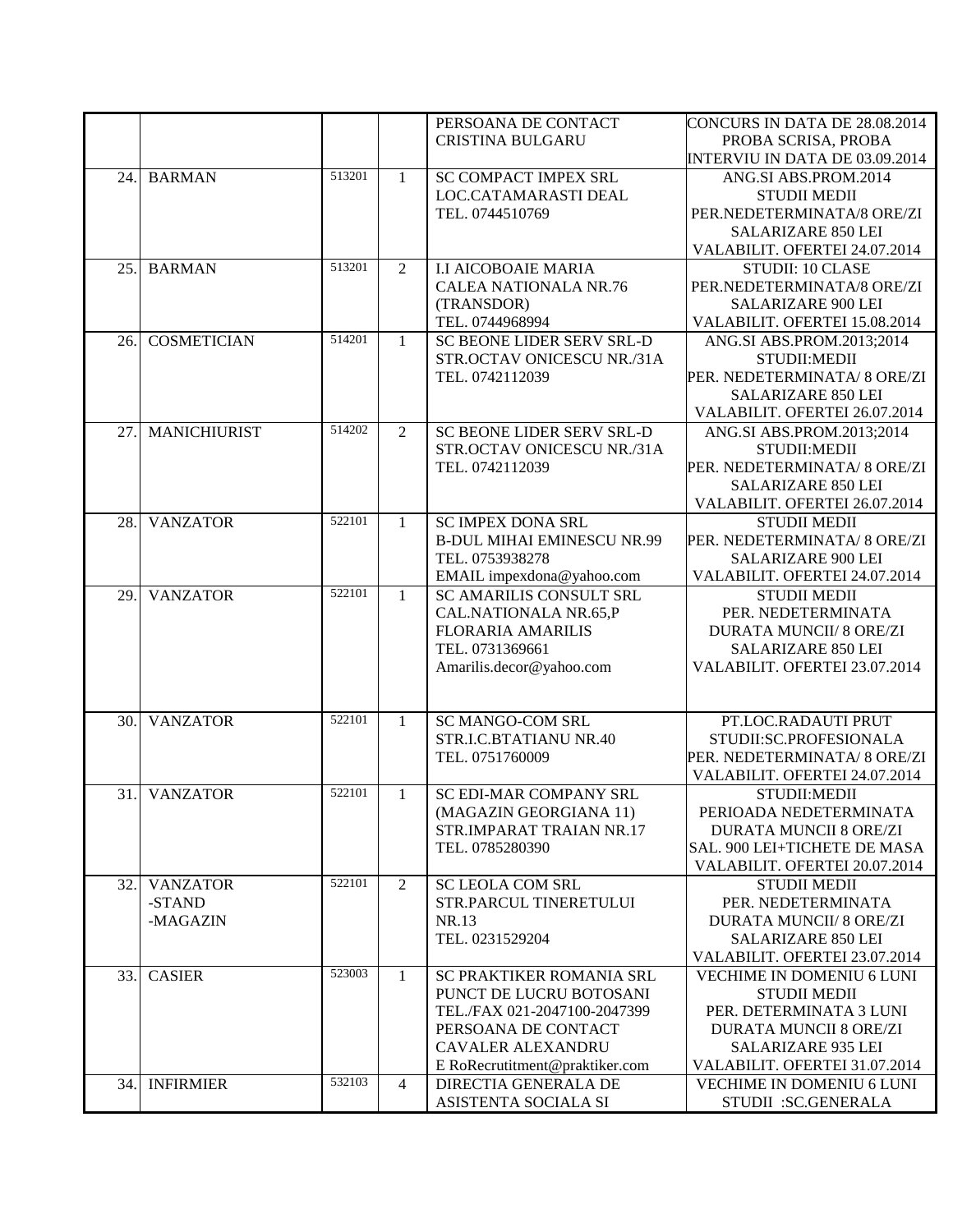|     |                     |        |                | PERSOANA DE CONTACT                                  | CONCURS IN DATA DE 28.08.2014                             |
|-----|---------------------|--------|----------------|------------------------------------------------------|-----------------------------------------------------------|
|     |                     |        |                | <b>CRISTINA BULGARU</b>                              | PROBA SCRISA, PROBA                                       |
|     |                     |        |                |                                                      | INTERVIU IN DATA DE 03.09.2014                            |
| 24. | <b>BARMAN</b>       | 513201 | $\mathbf{1}$   | SC COMPACT IMPEX SRL                                 | ANG.SI ABS.PROM.2014                                      |
|     |                     |        |                | LOC.CATAMARASTI DEAL                                 | <b>STUDII MEDII</b>                                       |
|     |                     |        |                | TEL. 0744510769                                      | PER.NEDETERMINATA/8 ORE/ZI                                |
|     |                     |        |                |                                                      | SALARIZARE 850 LEI                                        |
|     |                     |        |                |                                                      | VALABILIT. OFERTEI 24.07.2014                             |
| 25. | <b>BARMAN</b>       | 513201 | $\mathfrak{D}$ | <b>I.I AICOBOAIE MARIA</b>                           | <b>STUDII: 10 CLASE</b>                                   |
|     |                     |        |                | <b>CALEA NATIONALA NR.76</b>                         | PER.NEDETERMINATA/8 ORE/ZI                                |
|     |                     |        |                | (TRANSDOR)                                           | <b>SALARIZARE 900 LEI</b>                                 |
|     |                     |        |                | TEL. 0744968994                                      | VALABILIT. OFERTEI 15.08.2014                             |
| 26. | <b>COSMETICIAN</b>  | 514201 | $\mathbf{1}$   | <b>SC BEONE LIDER SERV SRL-D</b>                     | ANG.SI ABS.PROM.2013;2014                                 |
|     |                     |        |                | STR.OCTAV ONICESCU NR./31A                           | STUDII:MEDII                                              |
|     |                     |        |                | TEL. 0742112039                                      | PER. NEDETERMINATA/ 8 ORE/ZI                              |
|     |                     |        |                |                                                      | SALARIZARE 850 LEI                                        |
|     |                     |        |                |                                                      | VALABILIT. OFERTEI 26.07.2014                             |
| 27. | <b>MANICHIURIST</b> | 514202 | 2              | <b>SC BEONE LIDER SERV SRL-D</b>                     | ANG.SI ABS.PROM.2013;2014                                 |
|     |                     |        |                | STR.OCTAV ONICESCU NR./31A                           | STUDII:MEDII                                              |
|     |                     |        |                | TEL. 0742112039                                      | PER. NEDETERMINATA/ 8 ORE/ZI                              |
|     |                     |        |                |                                                      | SALARIZARE 850 LEI                                        |
|     |                     | 522101 |                |                                                      | VALABILIT. OFERTEI 26.07.2014                             |
| 28. | <b>VANZATOR</b>     |        | 1              | <b>SC IMPEX DONA SRL</b>                             | <b>STUDII MEDII</b>                                       |
|     |                     |        |                | <b>B-DUL MIHAI EMINESCU NR.99</b><br>TEL. 0753938278 | PER. NEDETERMINATA/ 8 ORE/ZI<br><b>SALARIZARE 900 LEI</b> |
|     |                     |        |                |                                                      |                                                           |
| 29. | <b>VANZATOR</b>     | 522101 | 1              | EMAIL impexdona@yahoo.com<br>SC AMARILIS CONSULT SRL | VALABILIT. OFERTEI 24.07.2014<br><b>STUDII MEDII</b>      |
|     |                     |        |                | CAL.NATIONALA NR.65,P                                | PER. NEDETERMINATA                                        |
|     |                     |        |                | <b>FLORARIA AMARILIS</b>                             | <b>DURATA MUNCII/ 8 ORE/ZI</b>                            |
|     |                     |        |                | TEL. 0731369661                                      | <b>SALARIZARE 850 LEI</b>                                 |
|     |                     |        |                | Amarilis.decor@yahoo.com                             | VALABILIT. OFERTEI 23.07.2014                             |
|     |                     |        |                |                                                      |                                                           |
|     |                     |        |                |                                                      |                                                           |
| 30. | <b>VANZATOR</b>     | 522101 | $\mathbf{1}$   | <b>SC MANGO-COM SRL</b>                              | PT.LOC.RADAUTI PRUT                                       |
|     |                     |        |                | STR.I.C.BTATIANU NR.40                               | STUDII:SC.PROFESIONALA                                    |
|     |                     |        |                | TEL. 0751760009                                      | PER. NEDETERMINATA/ 8 ORE/ZI                              |
|     |                     |        |                |                                                      | VALABILIT. OFERTEI 24.07.2014                             |
| 31. | <b>VANZATOR</b>     | 522101 | 1              | SC EDI-MAR COMPANY SRL                               | STUDII:MEDII                                              |
|     |                     |        |                | (MAGAZIN GEORGIANA 11)                               | PERIOADA NEDETERMINATA                                    |
|     |                     |        |                | STR.IMPARAT TRAIAN NR.17                             | <b>DURATA MUNCII 8 ORE/ZI</b>                             |
|     |                     |        |                | TEL. 0785280390                                      | SAL. 900 LEI+TICHETE DE MASA                              |
|     |                     |        |                |                                                      | VALABILIT. OFERTEI 20.07.2014                             |
| 32. | <b>VANZATOR</b>     | 522101 | $\overline{2}$ | <b>SC LEOLA COM SRL</b>                              | <b>STUDII MEDII</b>                                       |
|     | -STAND              |        |                | STR.PARCUL TINERETULUI                               | PER. NEDETERMINATA                                        |
|     | -MAGAZIN            |        |                | NR.13                                                | <b>DURATA MUNCII/ 8 ORE/ZI</b>                            |
|     |                     |        |                | TEL. 0231529204                                      | SALARIZARE 850 LEI                                        |
|     |                     | 523003 |                |                                                      | VALABILIT. OFERTEI 23.07.2014                             |
| 33. | <b>CASIER</b>       |        | $\mathbf{1}$   | SC PRAKTIKER ROMANIA SRL<br>PUNCT DE LUCRU BOTOSANI  | <b>VECHIME IN DOMENIU 6 LUNI</b><br><b>STUDII MEDII</b>   |
|     |                     |        |                | TEL./FAX 021-2047100-2047399                         | PER. DETERMINATA 3 LUNI                                   |
|     |                     |        |                | PERSOANA DE CONTACT                                  | <b>DURATA MUNCII 8 ORE/ZI</b>                             |
|     |                     |        |                | <b>CAVALER ALEXANDRU</b>                             | <b>SALARIZARE 935 LEI</b>                                 |
|     |                     |        |                | E RoRecrutitment@praktiker.com                       | VALABILIT. OFERTEI 31.07.2014                             |
| 34. | <b>INFIRMIER</b>    | 532103 | 4              | DIRECTIA GENERALA DE                                 | VECHIME IN DOMENIU 6 LUNI                                 |
|     |                     |        |                | ASISTENTA SOCIALA SI                                 | STUDII:SC.GENERALA                                        |
|     |                     |        |                |                                                      |                                                           |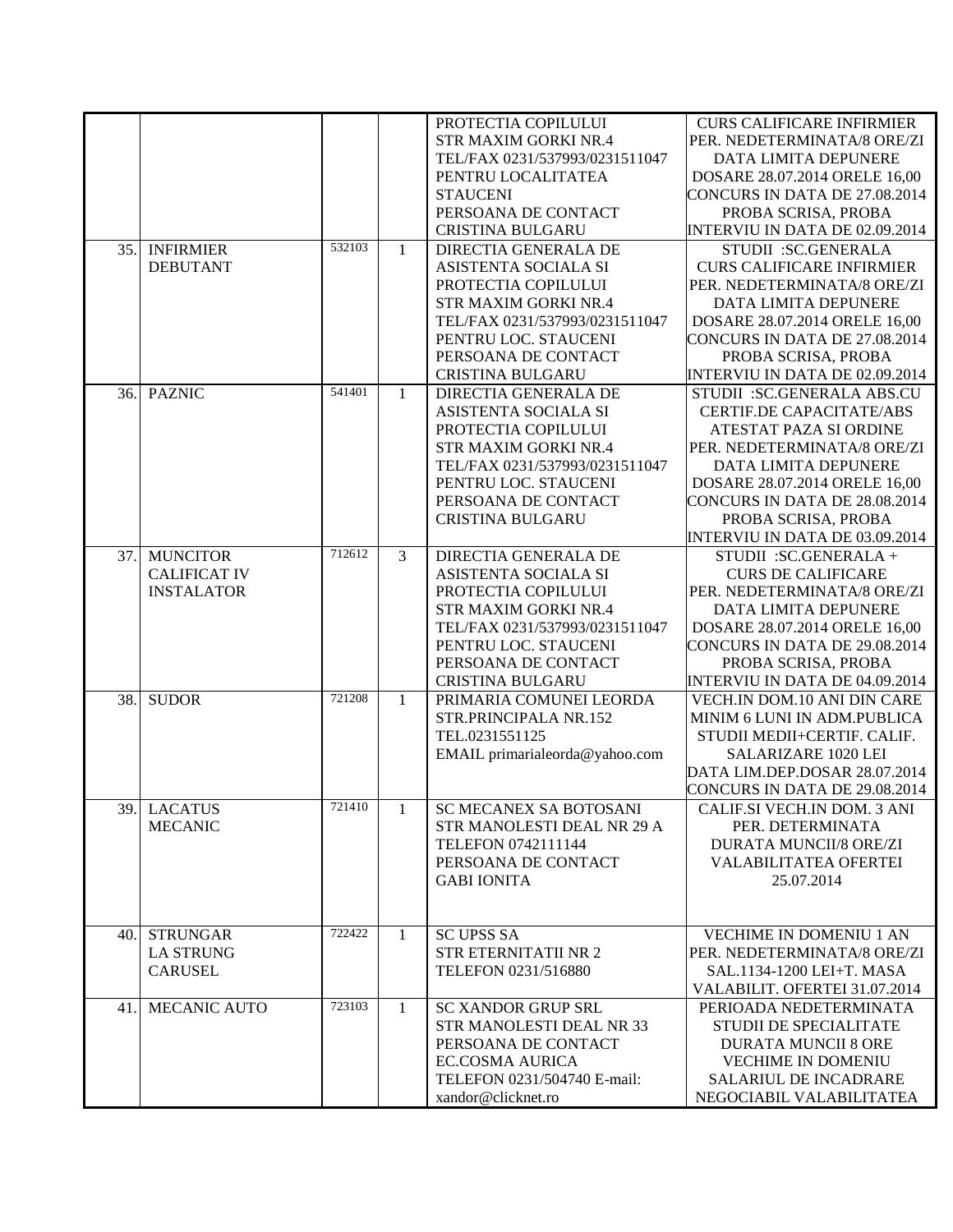|     |                     |        |              | PROTECTIA COPILULUI            | <b>CURS CALIFICARE INFIRMIER</b>      |
|-----|---------------------|--------|--------------|--------------------------------|---------------------------------------|
|     |                     |        |              | STR MAXIM GORKI NR.4           | PER. NEDETERMINATA/8 ORE/ZI           |
|     |                     |        |              | TEL/FAX 0231/537993/0231511047 | DATA LIMITA DEPUNERE                  |
|     |                     |        |              | PENTRU LOCALITATEA             | DOSARE 28.07.2014 ORELE 16,00         |
|     |                     |        |              | <b>STAUCENI</b>                | CONCURS IN DATA DE 27.08.2014         |
|     |                     |        |              | PERSOANA DE CONTACT            | PROBA SCRISA, PROBA                   |
|     |                     |        |              |                                |                                       |
|     |                     | 532103 |              | <b>CRISTINA BULGARU</b>        | INTERVIU IN DATA DE 02.09.2014        |
| 35. | <b>INFIRMIER</b>    |        | 1            | DIRECTIA GENERALA DE           | STUDII : SC.GENERALA                  |
|     | <b>DEBUTANT</b>     |        |              | ASISTENTA SOCIALA SI           | <b>CURS CALIFICARE INFIRMIER</b>      |
|     |                     |        |              | PROTECTIA COPILULUI            | PER. NEDETERMINATA/8 ORE/ZI           |
|     |                     |        |              | STR MAXIM GORKI NR.4           | DATA LIMITA DEPUNERE                  |
|     |                     |        |              | TEL/FAX 0231/537993/0231511047 | DOSARE 28.07.2014 ORELE 16,00         |
|     |                     |        |              | PENTRU LOC. STAUCENI           | CONCURS IN DATA DE 27.08.2014         |
|     |                     |        |              | PERSOANA DE CONTACT            | PROBA SCRISA, PROBA                   |
|     |                     |        |              | <b>CRISTINA BULGARU</b>        | INTERVIU IN DATA DE 02.09.2014        |
| 36. | <b>PAZNIC</b>       | 541401 | 1            | DIRECTIA GENERALA DE           | STUDII:SC.GENERALA ABS.CU             |
|     |                     |        |              | ASISTENTA SOCIALA SI           | CERTIF.DE CAPACITATE/ABS              |
|     |                     |        |              | PROTECTIA COPILULUI            | <b>ATESTAT PAZA SI ORDINE</b>         |
|     |                     |        |              | STR MAXIM GORKI NR.4           | PER. NEDETERMINATA/8 ORE/ZI           |
|     |                     |        |              | TEL/FAX 0231/537993/0231511047 | DATA LIMITA DEPUNERE                  |
|     |                     |        |              | PENTRU LOC. STAUCENI           | DOSARE 28.07.2014 ORELE 16,00         |
|     |                     |        |              | PERSOANA DE CONTACT            | CONCURS IN DATA DE 28.08.2014         |
|     |                     |        |              | <b>CRISTINA BULGARU</b>        | PROBA SCRISA, PROBA                   |
|     |                     |        |              |                                | <b>INTERVIU IN DATA DE 03.09.2014</b> |
| 37. | <b>MUNCITOR</b>     | 712612 | 3            | DIRECTIA GENERALA DE           | STUDII:SC.GENERALA+                   |
|     | <b>CALIFICAT IV</b> |        |              | ASISTENTA SOCIALA SI           | <b>CURS DE CALIFICARE</b>             |
|     | <b>INSTALATOR</b>   |        |              | PROTECTIA COPILULUI            | PER. NEDETERMINATA/8 ORE/ZI           |
|     |                     |        |              | STR MAXIM GORKI NR.4           | DATA LIMITA DEPUNERE                  |
|     |                     |        |              | TEL/FAX 0231/537993/0231511047 | DOSARE 28.07.2014 ORELE 16,00         |
|     |                     |        |              | PENTRU LOC. STAUCENI           | CONCURS IN DATA DE 29.08.2014         |
|     |                     |        |              | PERSOANA DE CONTACT            | PROBA SCRISA, PROBA                   |
|     |                     |        |              | <b>CRISTINA BULGARU</b>        | INTERVIU IN DATA DE 04.09.2014        |
| 38. | <b>SUDOR</b>        | 721208 | 1            | PRIMARIA COMUNEI LEORDA        | VECH.IN DOM.10 ANI DIN CARE           |
|     |                     |        |              | STR.PRINCIPALA NR.152          | MINIM 6 LUNI IN ADM.PUBLICA           |
|     |                     |        |              | TEL.0231551125                 | STUDII MEDII+CERTIF. CALIF.           |
|     |                     |        |              | EMAIL primarialeorda@yahoo.com | SALARIZARE 1020 LEI                   |
|     |                     |        |              |                                | DATA LIM.DEP.DOSAR 28.07.2014         |
|     |                     |        |              |                                | CONCURS IN DATA DE 29.08.2014         |
|     | 39. LACATUS         | 721410 | 1            | SC MECANEX SA BOTOSANI         | CALIF.SI VECH.IN DOM. 3 ANI           |
|     | <b>MECANIC</b>      |        |              | STR MANOLESTI DEAL NR 29 A     | PER. DETERMINATA                      |
|     |                     |        |              | TELEFON 0742111144             | <b>DURATA MUNCII/8 ORE/ZI</b>         |
|     |                     |        |              | PERSOANA DE CONTACT            | <b>VALABILITATEA OFERTEI</b>          |
|     |                     |        |              | <b>GABI IONITA</b>             | 25.07.2014                            |
|     |                     |        |              |                                |                                       |
|     |                     |        |              |                                |                                       |
| 40. | <b>STRUNGAR</b>     | 722422 | $\mathbf{1}$ | <b>SC UPSS SA</b>              | <b>VECHIME IN DOMENIU 1 AN</b>        |
|     | <b>LA STRUNG</b>    |        |              | <b>STR ETERNITATII NR 2</b>    | PER. NEDETERMINATA/8 ORE/ZI           |
|     | <b>CARUSEL</b>      |        |              | TELEFON 0231/516880            | SAL.1134-1200 LEI+T. MASA             |
|     |                     |        |              |                                | VALABILIT. OFERTEI 31.07.2014         |
| 41. | MECANIC AUTO        | 723103 | 1            | <b>SC XANDOR GRUP SRL</b>      | PERIOADA NEDETERMINATA                |
|     |                     |        |              | STR MANOLESTI DEAL NR 33       | <b>STUDII DE SPECIALITATE</b>         |
|     |                     |        |              | PERSOANA DE CONTACT            | <b>DURATA MUNCII 8 ORE</b>            |
|     |                     |        |              | <b>EC.COSMA AURICA</b>         | <b>VECHIME IN DOMENIU</b>             |
|     |                     |        |              | TELEFON 0231/504740 E-mail:    | <b>SALARIUL DE INCADRARE</b>          |
|     |                     |        |              |                                |                                       |
|     |                     |        |              | xandor@clicknet.ro             | NEGOCIABIL VALABILITATEA              |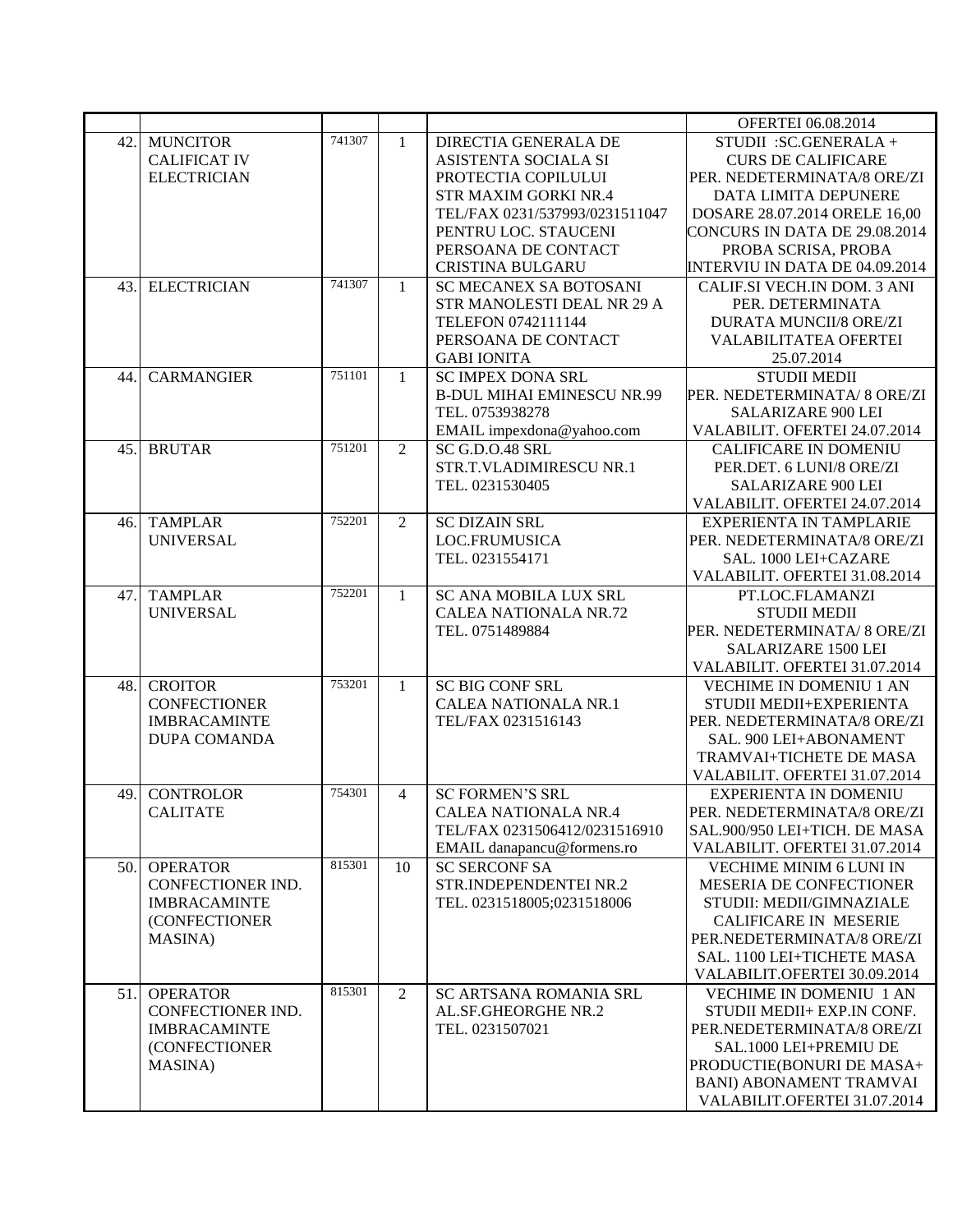|     |                     |        |                |                                   | <b>OFERTEI 06.08.2014</b>             |
|-----|---------------------|--------|----------------|-----------------------------------|---------------------------------------|
| 42. | <b>MUNCITOR</b>     | 741307 | $\mathbf{1}$   | DIRECTIA GENERALA DE              | STUDII : SC.GENERALA +                |
|     | <b>CALIFICAT IV</b> |        |                | ASISTENTA SOCIALA SI              | <b>CURS DE CALIFICARE</b>             |
|     | <b>ELECTRICIAN</b>  |        |                | PROTECTIA COPILULUI               | PER. NEDETERMINATA/8 ORE/ZI           |
|     |                     |        |                | <b>STR MAXIM GORKI NR.4</b>       | DATA LIMITA DEPUNERE                  |
|     |                     |        |                | TEL/FAX 0231/537993/0231511047    | DOSARE 28.07.2014 ORELE 16,00         |
|     |                     |        |                | PENTRU LOC. STAUCENI              | CONCURS IN DATA DE 29.08.2014         |
|     |                     |        |                | PERSOANA DE CONTACT               | PROBA SCRISA, PROBA                   |
|     |                     |        |                | <b>CRISTINA BULGARU</b>           | <b>INTERVIU IN DATA DE 04.09.2014</b> |
| 43. | <b>ELECTRICIAN</b>  | 741307 | $\mathbf{1}$   | <b>SC MECANEX SA BOTOSANI</b>     | CALIF.SI VECH.IN DOM. 3 ANI           |
|     |                     |        |                | STR MANOLESTI DEAL NR 29 A        | PER. DETERMINATA                      |
|     |                     |        |                | TELEFON 0742111144                | <b>DURATA MUNCII/8 ORE/ZI</b>         |
|     |                     |        |                | PERSOANA DE CONTACT               | <b>VALABILITATEA OFERTEI</b>          |
|     |                     |        |                | <b>GABI IONITA</b>                | 25.07.2014                            |
| 44. | <b>CARMANGIER</b>   | 751101 | $\mathbf{1}$   | <b>SC IMPEX DONA SRL</b>          | <b>STUDII MEDII</b>                   |
|     |                     |        |                | <b>B-DUL MIHAI EMINESCU NR.99</b> | PER. NEDETERMINATA/ 8 ORE/ZI          |
|     |                     |        |                | TEL. 0753938278                   | <b>SALARIZARE 900 LEI</b>             |
|     |                     |        |                | EMAIL impexdona@yahoo.com         | VALABILIT. OFERTEI 24.07.2014         |
| 45. | <b>BRUTAR</b>       | 751201 | $\overline{c}$ | SC G.D.O.48 SRL                   | <b>CALIFICARE IN DOMENIU</b>          |
|     |                     |        |                | STR.T.VLADIMIRESCU NR.1           | PER.DET. 6 LUNI/8 ORE/ZI              |
|     |                     |        |                | TEL. 0231530405                   | <b>SALARIZARE 900 LEI</b>             |
|     |                     |        |                |                                   | VALABILIT. OFERTEI 24.07.2014         |
| 46. | <b>TAMPLAR</b>      | 752201 | 2              | <b>SC DIZAIN SRL</b>              | <b>EXPERIENTA IN TAMPLARIE</b>        |
|     | <b>UNIVERSAL</b>    |        |                | LOC.FRUMUSICA                     | PER. NEDETERMINATA/8 ORE/ZI           |
|     |                     |        |                | TEL. 0231554171                   | SAL. 1000 LEI+CAZARE                  |
|     |                     |        |                |                                   | VALABILIT. OFERTEI 31.08.2014         |
| 47. | <b>TAMPLAR</b>      | 752201 | $\mathbf{1}$   | SC ANA MOBILA LUX SRL             | PT.LOC.FLAMANZI                       |
|     | <b>UNIVERSAL</b>    |        |                | <b>CALEA NATIONALA NR.72</b>      | <b>STUDII MEDII</b>                   |
|     |                     |        |                | TEL. 0751489884                   | PER. NEDETERMINATA/ 8 ORE/ZI          |
|     |                     |        |                |                                   | SALARIZARE 1500 LEI                   |
|     |                     |        |                |                                   | VALABILIT. OFERTEI 31.07.2014         |
| 48. | <b>CROITOR</b>      | 753201 | $\mathbf{1}$   | <b>SC BIG CONF SRL</b>            | <b>VECHIME IN DOMENIU 1 AN</b>        |
|     | <b>CONFECTIONER</b> |        |                | <b>CALEA NATIONALA NR.1</b>       | STUDII MEDII+EXPERIENTA               |
|     | <b>IMBRACAMINTE</b> |        |                | TEL/FAX 0231516143                | PER. NEDETERMINATA/8 ORE/ZI           |
|     | <b>DUPA COMANDA</b> |        |                |                                   | SAL. 900 LEI+ABONAMENT                |
|     |                     |        |                |                                   | TRAMVAI+TICHETE DE MASA               |
|     |                     |        |                |                                   | VALABILIT. OFERTEI 31.07.2014         |
| 49. | <b>CONTROLOR</b>    | 754301 | 4              | <b>SC FORMEN'S SRL</b>            | <b>EXPERIENTA IN DOMENIU</b>          |
|     | <b>CALITATE</b>     |        |                | <b>CALEA NATIONALA NR.4</b>       | PER. NEDETERMINATA/8 ORE/ZI           |
|     |                     |        |                | TEL/FAX 0231506412/0231516910     | SAL.900/950 LEI+TICH. DE MASA         |
|     |                     |        |                | EMAIL danapancu@formens.ro        | VALABILIT. OFERTEI 31.07.2014         |
| 50. | <b>OPERATOR</b>     | 815301 | 10             | <b>SC SERCONF SA</b>              | VECHIME MINIM 6 LUNI IN               |
|     | CONFECTIONER IND.   |        |                | STR.INDEPENDENTEI NR.2            | MESERIA DE CONFECTIONER               |
|     | <b>IMBRACAMINTE</b> |        |                | TEL. 0231518005;0231518006        | STUDII: MEDII/GIMNAZIALE              |
|     | (CONFECTIONER       |        |                |                                   | <b>CALIFICARE IN MESERIE</b>          |
|     | <b>MASINA</b> )     |        |                |                                   | PER.NEDETERMINATA/8 ORE/ZI            |
|     |                     |        |                |                                   | SAL. 1100 LEI+TICHETE MASA            |
|     |                     |        |                |                                   | VALABILIT.OFERTEI 30.09.2014          |
| 51. | <b>OPERATOR</b>     | 815301 | 2              | SC ARTSANA ROMANIA SRL            | <b>VECHIME IN DOMENIU 1 AN</b>        |
|     | CONFECTIONER IND.   |        |                | AL.SF.GHEORGHE NR.2               | STUDII MEDII+ EXP.IN CONF.            |
|     | <b>IMBRACAMINTE</b> |        |                | TEL. 0231507021                   | PER.NEDETERMINATA/8 ORE/ZI            |
|     | (CONFECTIONER       |        |                |                                   | SAL.1000 LEI+PREMIU DE                |
|     | MASINA)             |        |                |                                   | PRODUCTIE(BONURI DE MASA+             |
|     |                     |        |                |                                   | <b>BANI) ABONAMENT TRAMVAI</b>        |
|     |                     |        |                |                                   | VALABILIT.OFERTEI 31.07.2014          |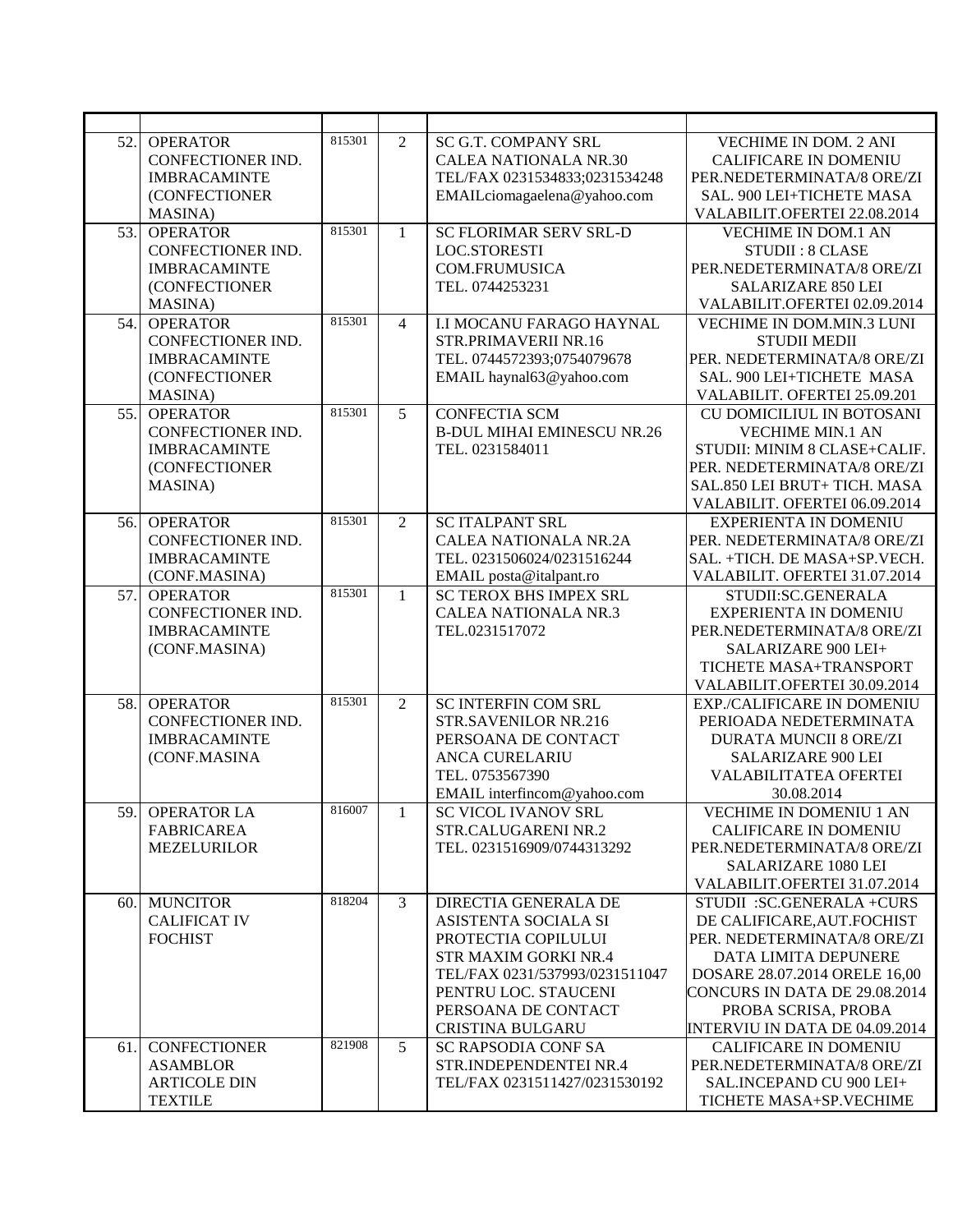| 52. | <b>OPERATOR</b><br>CONFECTIONER IND.<br><b>IMBRACAMINTE</b><br>(CONFECTIONER<br>MASINA) | 815301 | $\overline{2}$ | <b>SC G.T. COMPANY SRL</b><br><b>CALEA NATIONALA NR.30</b><br>TEL/FAX 0231534833;0231534248<br>EMAILciomagaelena@yahoo.com                                                                                     | <b>VECHIME IN DOM. 2 ANI</b><br><b>CALIFICARE IN DOMENIU</b><br>PER.NEDETERMINATA/8 ORE/ZI<br>SAL. 900 LEI+TICHETE MASA<br>VALABILIT.OFERTEI 22.08.2014                                                                                         |
|-----|-----------------------------------------------------------------------------------------|--------|----------------|----------------------------------------------------------------------------------------------------------------------------------------------------------------------------------------------------------------|-------------------------------------------------------------------------------------------------------------------------------------------------------------------------------------------------------------------------------------------------|
| 53. | <b>OPERATOR</b><br>CONFECTIONER IND.<br><b>IMBRACAMINTE</b><br>(CONFECTIONER<br>MASINA) | 815301 | $\mathbf 1$    | SC FLORIMAR SERV SRL-D<br>LOC.STORESTI<br><b>COM.FRUMUSICA</b><br>TEL. 0744253231                                                                                                                              | <b>VECHIME IN DOM.1 AN</b><br><b>STUDII: 8 CLASE</b><br>PER.NEDETERMINATA/8 ORE/ZI<br>SALARIZARE 850 LEI<br>VALABILIT.OFERTEI 02.09.2014                                                                                                        |
| 54. | <b>OPERATOR</b><br>CONFECTIONER IND.<br><b>IMBRACAMINTE</b><br>(CONFECTIONER<br>MASINA) | 815301 | $\overline{4}$ | <b>I.I MOCANU FARAGO HAYNAL</b><br>STR.PRIMAVERII NR.16<br>TEL. 0744572393;0754079678<br>EMAIL haynal63@yahoo.com                                                                                              | VECHIME IN DOM.MIN.3 LUNI<br><b>STUDII MEDII</b><br>PER. NEDETERMINATA/8 ORE/ZI<br>SAL. 900 LEI+TICHETE MASA<br>VALABILIT. OFERTEI 25.09.201                                                                                                    |
| 55. | <b>OPERATOR</b><br>CONFECTIONER IND.<br><b>IMBRACAMINTE</b><br>(CONFECTIONER<br>MASINA) | 815301 | 5              | <b>CONFECTIA SCM</b><br><b>B-DUL MIHAI EMINESCU NR.26</b><br>TEL. 0231584011                                                                                                                                   | CU DOMICILIUL IN BOTOSANI<br><b>VECHIME MIN.1 AN</b><br>STUDII: MINIM 8 CLASE+CALIF.<br>PER. NEDETERMINATA/8 ORE/ZI<br>SAL.850 LEI BRUT+ TICH. MASA<br>VALABILIT. OFERTEI 06.09.2014                                                            |
| 56. | <b>OPERATOR</b><br>CONFECTIONER IND.<br><b>IMBRACAMINTE</b><br>(CONF.MASINA)            | 815301 | $\overline{2}$ | <b>SC ITALPANT SRL</b><br><b>CALEA NATIONALA NR.2A</b><br>TEL. 0231506024/0231516244<br>EMAIL posta@italpant.ro                                                                                                | EXPERIENTA IN DOMENIU<br>PER. NEDETERMINATA/8 ORE/ZI<br>SAL. +TICH. DE MASA+SP.VECH.<br>VALABILIT. OFERTEI 31.07.2014                                                                                                                           |
| 57. | <b>OPERATOR</b><br>CONFECTIONER IND.<br><b>IMBRACAMINTE</b><br>(CONF.MASINA)            | 815301 | $\mathbf{1}$   | <b>SC TEROX BHS IMPEX SRL</b><br><b>CALEA NATIONALA NR.3</b><br>TEL.0231517072                                                                                                                                 | STUDII:SC.GENERALA<br>EXPERIENTA IN DOMENIU<br>PER.NEDETERMINATA/8 ORE/ZI<br>SALARIZARE 900 LEI+<br>TICHETE MASA+TRANSPORT<br>VALABILIT.OFERTEI 30.09.2014                                                                                      |
| 58. | <b>OPERATOR</b><br>CONFECTIONER IND.<br><b>IMBRACAMINTE</b><br>(CONF.MASINA             | 815301 | $\overline{2}$ | SC INTERFIN COM SRL<br>STR.SAVENILOR NR.216<br>PERSOANA DE CONTACT<br><b>ANCA CURELARIU</b><br>TEL. 0753567390<br>EMAIL interfincom@yahoo.com                                                                  | EXP./CALIFICARE IN DOMENIU<br>PERIOADA NEDETERMINATA<br><b>DURATA MUNCII 8 ORE/ZI</b><br><b>SALARIZARE 900 LEI</b><br>VALABILITATEA OFERTEI<br>30.08.2014                                                                                       |
|     | 59. OPERATOR LA<br><b>FABRICAREA</b><br><b>MEZELURILOR</b>                              | 816007 |                | <b>SC VICOL IVANOV SRL</b><br>STR.CALUGARENI NR.2<br>TEL. 0231516909/0744313292                                                                                                                                | <b>VECHIME IN DOMENIU 1 AN</b><br><b>CALIFICARE IN DOMENIU</b><br>PER.NEDETERMINATA/8 ORE/ZI<br>SALARIZARE 1080 LEI<br>VALABILIT.OFERTEI 31.07.2014                                                                                             |
| 60. | <b>MUNCITOR</b><br><b>CALIFICAT IV</b><br><b>FOCHIST</b>                                | 818204 | 3              | DIRECTIA GENERALA DE<br>ASISTENTA SOCIALA SI<br>PROTECTIA COPILULUI<br><b>STR MAXIM GORKI NR.4</b><br>TEL/FAX 0231/537993/0231511047<br>PENTRU LOC. STAUCENI<br>PERSOANA DE CONTACT<br><b>CRISTINA BULGARU</b> | STUDII:SC.GENERALA+CURS<br>DE CALIFICARE, AUT. FOCHIST<br>PER. NEDETERMINATA/8 ORE/ZI<br>DATA LIMITA DEPUNERE<br>DOSARE 28.07.2014 ORELE 16,00<br>CONCURS IN DATA DE 29.08.2014<br>PROBA SCRISA, PROBA<br><b>INTERVIU IN DATA DE 04.09.2014</b> |
| 61. | <b>CONFECTIONER</b><br><b>ASAMBLOR</b><br><b>ARTICOLE DIN</b><br><b>TEXTILE</b>         | 821908 | 5              | <b>SC RAPSODIA CONF SA</b><br>STR.INDEPENDENTEI NR.4<br>TEL/FAX 0231511427/0231530192                                                                                                                          | <b>CALIFICARE IN DOMENIU</b><br>PER.NEDETERMINATA/8 ORE/ZI<br>SAL.INCEPAND CU 900 LEI+<br>TICHETE MASA+SP.VECHIME                                                                                                                               |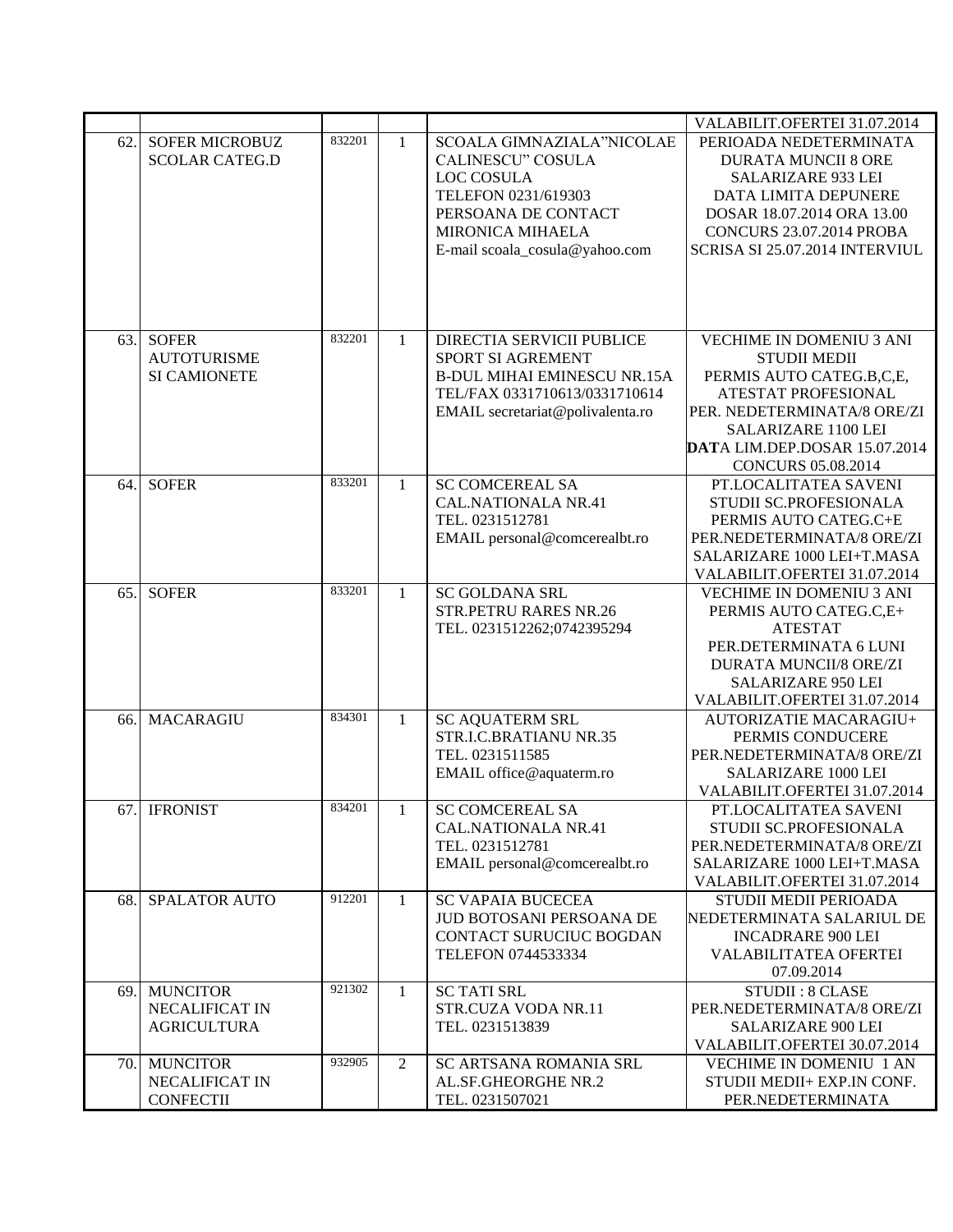|     |                       |        |              |                                                      | VALABILIT.OFERTEI 31.07.2014                        |
|-----|-----------------------|--------|--------------|------------------------------------------------------|-----------------------------------------------------|
| 62. | SOFER MICROBUZ        | 832201 | 1            | SCOALA GIMNAZIALA"NICOLAE                            | PERIOADA NEDETERMINATA                              |
|     | <b>SCOLAR CATEG.D</b> |        |              | CALINESCU" COSULA                                    | <b>DURATA MUNCII 8 ORE</b>                          |
|     |                       |        |              | <b>LOC COSULA</b>                                    | SALARIZARE 933 LEI                                  |
|     |                       |        |              | TELEFON 0231/619303                                  | DATA LIMITA DEPUNERE                                |
|     |                       |        |              | PERSOANA DE CONTACT                                  | DOSAR 18.07.2014 ORA 13.00                          |
|     |                       |        |              | <b>MIRONICA MIHAELA</b>                              | CONCURS 23.07.2014 PROBA                            |
|     |                       |        |              | E-mail scoala_cosula@yahoo.com                       | SCRISA SI 25.07.2014 INTERVIUL                      |
|     |                       |        |              |                                                      |                                                     |
|     |                       |        |              |                                                      |                                                     |
|     |                       |        |              |                                                      |                                                     |
|     |                       | 832201 |              |                                                      |                                                     |
| 63. | <b>SOFER</b>          |        | 1            | DIRECTIA SERVICII PUBLICE                            | VECHIME IN DOMENIU 3 ANI                            |
|     | <b>AUTOTURISME</b>    |        |              | SPORT SI AGREMENT                                    | <b>STUDII MEDII</b>                                 |
|     | SI CAMIONETE          |        |              | <b>B-DUL MIHAI EMINESCU NR.15A</b>                   | PERMIS AUTO CATEG.B,C,E,                            |
|     |                       |        |              | TEL/FAX 0331710613/0331710614                        | ATESTAT PROFESIONAL                                 |
|     |                       |        |              | EMAIL secretariat@polivalenta.ro                     | PER. NEDETERMINATA/8 ORE/ZI                         |
|     |                       |        |              |                                                      | SALARIZARE 1100 LEI                                 |
|     |                       |        |              |                                                      | DATA LIM.DEP.DOSAR 15.07.2014<br>CONCURS 05.08.2014 |
| 64. | <b>SOFER</b>          | 833201 |              | <b>SC COMCEREAL SA</b>                               | PT.LOCALITATEA SAVENI                               |
|     |                       |        | 1            | <b>CAL.NATIONALA NR.41</b>                           |                                                     |
|     |                       |        |              |                                                      | STUDII SC.PROFESIONALA                              |
|     |                       |        |              | TEL. 0231512781                                      | PERMIS AUTO CATEG.C+E<br>PER.NEDETERMINATA/8 ORE/ZI |
|     |                       |        |              | EMAIL personal@comcerealbt.ro                        |                                                     |
|     |                       |        |              |                                                      | SALARIZARE 1000 LEI+T.MASA                          |
|     | <b>SOFER</b>          | 833201 |              |                                                      | VALABILIT.OFERTEI 31.07.2014                        |
| 65. |                       |        | $\mathbf{1}$ | <b>SC GOLDANA SRL</b>                                | <b>VECHIME IN DOMENIU 3 ANI</b>                     |
|     |                       |        |              | STR.PETRU RARES NR.26                                | PERMIS AUTO CATEG.C,E+                              |
|     |                       |        |              | TEL. 0231512262;0742395294                           | <b>ATESTAT</b><br>PER.DETERMINATA 6 LUNI            |
|     |                       |        |              |                                                      |                                                     |
|     |                       |        |              |                                                      | <b>DURATA MUNCII/8 ORE/ZI</b>                       |
|     |                       |        |              |                                                      | SALARIZARE 950 LEI<br>VALABILIT.OFERTEI 31.07.2014  |
| 66. | <b>MACARAGIU</b>      | 834301 | $\mathbf{1}$ | <b>SC AQUATERM SRL</b>                               | <b>AUTORIZATIE MACARAGIU+</b>                       |
|     |                       |        |              | STR.I.C.BRATIANU NR.35                               | PERMIS CONDUCERE                                    |
|     |                       |        |              | TEL. 0231511585                                      | PER.NEDETERMINATA/8 ORE/ZI                          |
|     |                       |        |              |                                                      | SALARIZARE 1000 LEI                                 |
|     |                       |        |              | EMAIL office@aquaterm.ro                             | VALABILIT.OFERTEI 31.07.2014                        |
|     |                       | 834201 |              |                                                      |                                                     |
| 67. | <b>IFRONIST</b>       |        | 1            | <b>SC COMCEREAL SA</b><br><b>CAL.NATIONALA NR.41</b> | PT.LOCALITATEA SAVENI<br>STUDII SC.PROFESIONALA     |
|     |                       |        |              | TEL. 0231512781                                      | PER.NEDETERMINATA/8 ORE/ZI                          |
|     |                       |        |              | EMAIL personal@comcerealbt.ro                        | SALARIZARE 1000 LEI+T.MASA                          |
|     |                       |        |              |                                                      | VALABILIT.OFERTEI 31.07.2014                        |
| 68. | <b>SPALATOR AUTO</b>  | 912201 | $\mathbf{1}$ | <b>SC VAPAIA BUCECEA</b>                             | STUDII MEDII PERIOADA                               |
|     |                       |        |              | JUD BOTOSANI PERSOANA DE                             | NEDETERMINATA SALARIUL DE                           |
|     |                       |        |              | CONTACT SURUCIUC BOGDAN                              | <b>INCADRARE 900 LEI</b>                            |
|     |                       |        |              | TELEFON 0744533334                                   | <b>VALABILITATEA OFERTEI</b>                        |
|     |                       |        |              |                                                      | 07.09.2014                                          |
| 69. | <b>MUNCITOR</b>       | 921302 | $\mathbf{1}$ | <b>SC TATI SRL</b>                                   | <b>STUDII: 8 CLASE</b>                              |
|     | NECALIFICAT IN        |        |              | STR.CUZA VODA NR.11                                  | PER.NEDETERMINATA/8 ORE/ZI                          |
|     | <b>AGRICULTURA</b>    |        |              | TEL. 0231513839                                      | <b>SALARIZARE 900 LEI</b>                           |
|     |                       |        |              |                                                      | VALABILIT.OFERTEI 30.07.2014                        |
| 70. | <b>MUNCITOR</b>       | 932905 | 2            | SC ARTSANA ROMANIA SRL                               | <b>VECHIME IN DOMENIU 1 AN</b>                      |
|     | NECALIFICAT IN        |        |              | AL.SF.GHEORGHE NR.2                                  | STUDII MEDII+ EXP.IN CONF.                          |
|     | <b>CONFECTII</b>      |        |              | TEL. 0231507021                                      | PER.NEDETERMINATA                                   |
|     |                       |        |              |                                                      |                                                     |